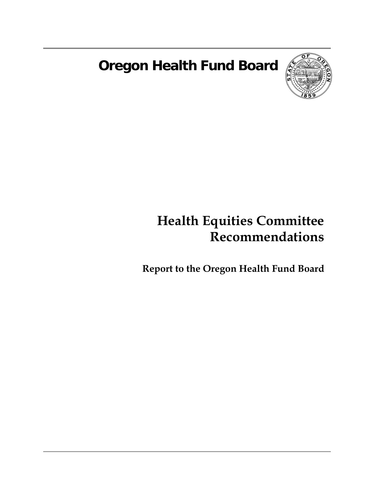**Oregon Health Fund Board** 



# **Health Equities Committee Recommendations**

 **Report to the Oregon Health Fund Board**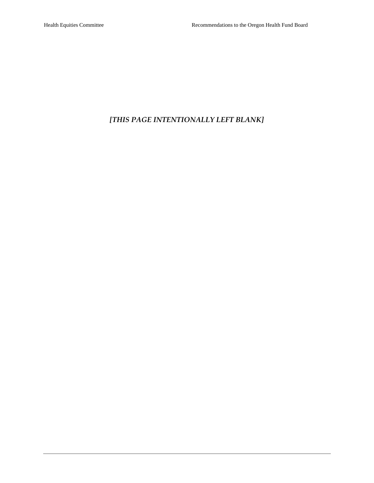# *[THIS PAGE INTENTIONALLY LEFT BLANK]*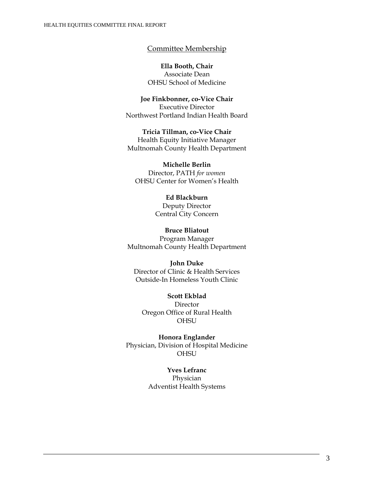#### Committee Membership

**Ella Booth, Chair** Associate Dean OHSU School of Medicine

**Joe Finkbonner, co-Vice Chair**  Executive Director Northwest Portland Indian Health Board

**Tricia Tillman, co-Vice Chair**  Health Equity Initiative Manager Multnomah County Health Department

**Michelle Berlin**

Director, PATH *for women* OHSU Center for Women's Health

> **Ed Blackburn** Deputy Director Central City Concern

**Bruce Bliatout** Program Manager Multnomah County Health Department

**John Duke** Director of Clinic & Health Services Outside-In Homeless Youth Clinic

**Scott Ekblad** Director Oregon Office of Rural Health **OHSU** 

**Honora Englander**  Physician, Division of Hospital Medicine **OHSU** 

> **Yves Lefranc** Physician Adventist Health Systems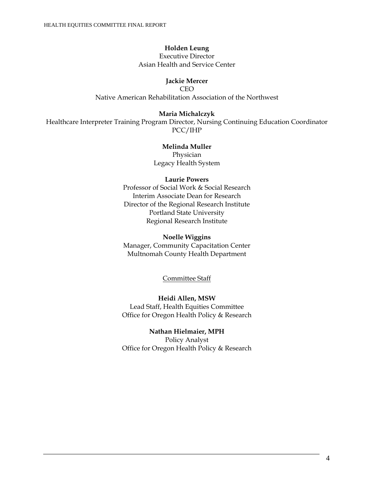#### **Holden Leung**

Executive Director Asian Health and Service Center

#### **Jackie Mercer**

CEO Native American Rehabilitation Association of the Northwest

#### **Maria Michalczyk**

Healthcare Interpreter Training Program Director, Nursing Continuing Education Coordinator PCC/IHP

### **Melinda Muller**

Physician Legacy Health System

#### **Laurie Powers**

Professor of Social Work & Social Research Interim Associate Dean for Research Director of the Regional Research Institute Portland State University Regional Research Institute

#### **Noelle Wiggins**

Manager, Community Capacitation Center Multnomah County Health Department

Committee Staff

#### **Heidi Allen, MSW**  Lead Staff, Health Equities Committee Office for Oregon Health Policy & Research

**Nathan Hielmaier, MPH**  Policy Analyst Office for Oregon Health Policy & Research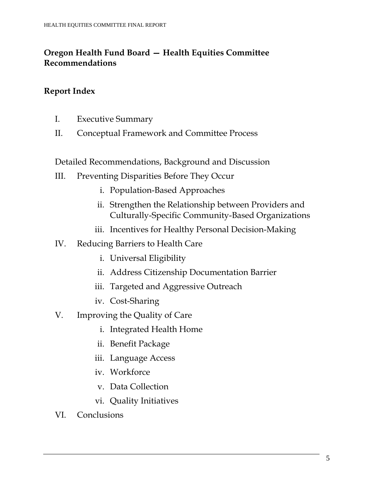# **Oregon Health Fund Board — Health Equities Committee Recommendations**

# **Report Index**

- I. Executive Summary
- II. Conceptual Framework and Committee Process

Detailed Recommendations, Background and Discussion

- III. Preventing Disparities Before They Occur
	- i. Population-Based Approaches
	- ii. Strengthen the Relationship between Providers and Culturally-Specific Community-Based Organizations
	- iii. Incentives for Healthy Personal Decision-Making
- IV. Reducing Barriers to Health Care
	- i. Universal Eligibility
	- ii. Address Citizenship Documentation Barrier
	- iii. Targeted and Aggressive Outreach
	- iv. Cost-Sharing
- V. Improving the Quality of Care
	- i. Integrated Health Home
	- ii. Benefit Package
	- iii. Language Access
	- iv. Workforce
	- v. Data Collection
	- vi. Quality Initiatives
- VI. Conclusions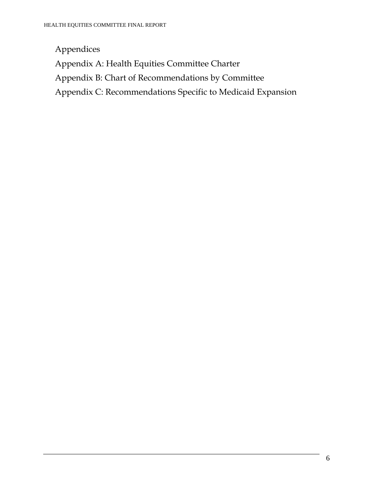# Appendices Appendix A: Health Equities Committee Charter Appendix B: Chart of Recommendations by Committee Appendix C: Recommendations Specific to Medicaid Expansion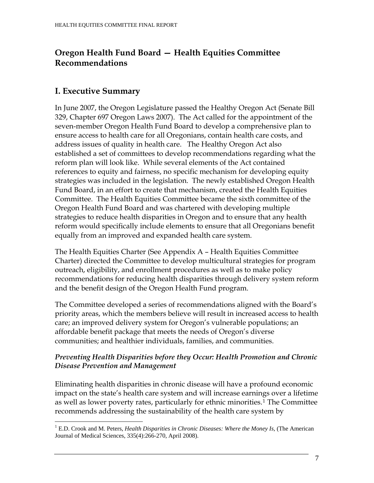# **Oregon Health Fund Board — Health Equities Committee Recommendations**

# **I. Executive Summary**

 $\overline{a}$ 

In June 2007, the Oregon Legislature passed the Healthy Oregon Act (Senate Bill 329, Chapter 697 Oregon Laws 2007). The Act called for the appointment of the seven-member Oregon Health Fund Board to develop a comprehensive plan to ensure access to health care for all Oregonians, contain health care costs, and address issues of quality in health care. The Healthy Oregon Act also established a set of committees to develop recommendations regarding what the reform plan will look like. While several elements of the Act contained references to equity and fairness, no specific mechanism for developing equity strategies was included in the legislation. The newly established Oregon Health Fund Board, in an effort to create that mechanism, created the Health Equities Committee. The Health Equities Committee became the sixth committee of the Oregon Health Fund Board and was chartered with developing multiple strategies to reduce health disparities in Oregon and to ensure that any health reform would specifically include elements to ensure that all Oregonians benefit equally from an improved and expanded health care system.

The Health Equities Charter (See Appendix A – Health Equities Committee Charter) directed the Committee to develop multicultural strategies for program outreach, eligibility, and enrollment procedures as well as to make policy recommendations for reducing health disparities through delivery system reform and the benefit design of the Oregon Health Fund program.

The Committee developed a series of recommendations aligned with the Board's priority areas, which the members believe will result in increased access to health care; an improved delivery system for Oregon's vulnerable populations; an affordable benefit package that meets the needs of Oregon's diverse communities; and healthier individuals, families, and communities.

## *Preventing Health Disparities before they Occur: Health Promotion and Chronic Disease Prevention and Management*

Eliminating health disparities in chronic disease will have a profound economic impact on the state's health care system and will increase earnings over a lifetime as well as lower poverty rates, particularly for ethnic minorities.<sup>[1](#page-6-0)</sup> The Committee recommends addressing the sustainability of the health care system by

<span id="page-6-0"></span><sup>&</sup>lt;sup>1</sup> E.D. Crook and M. Peters, *Health Disparities in Chronic Diseases: Where the Money Is, (The American* Journal of Medical Sciences, 335(4):266-270, April 2008).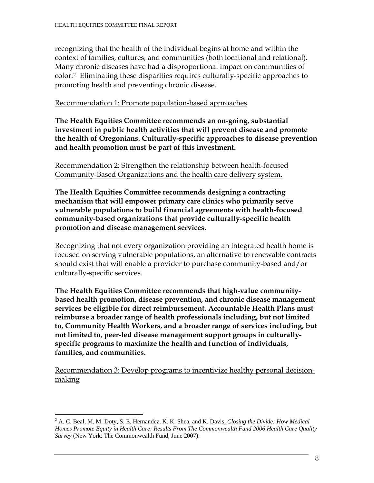recognizing that the health of the individual begins at home and within the context of families, cultures, and communities (both locational and relational). Many chronic diseases have had a disproportional impact on communities of color.[2](#page-7-0) Eliminating these disparities requires culturally-specific approaches to promoting health and preventing chronic disease.

## Recommendation 1: Promote population-based approaches

**The Health Equities Committee recommends an on-going, substantial investment in public health activities that will prevent disease and promote the health of Oregonians. Culturally-specific approaches to disease prevention and health promotion must be part of this investment.** 

Recommendation 2: Strengthen the relationship between health-focused Community-Based Organizations and the health care delivery system.

**The Health Equities Committee recommends designing a contracting mechanism that will empower primary care clinics who primarily serve vulnerable populations to build financial agreements with health-focused community-based organizations that provide culturally-specific health promotion and disease management services.** 

Recognizing that not every organization providing an integrated health home is focused on serving vulnerable populations, an alternative to renewable contracts should exist that will enable a provider to purchase community-based and/or culturally-specific services.

**The Health Equities Committee recommends that high-value communitybased health promotion, disease prevention, and chronic disease management services be eligible for direct reimbursement. Accountable Health Plans must reimburse a broader range of health professionals including, but not limited to, Community Health Workers, and a broader range of services including, but not limited to, peer-led disease management support groups in culturallyspecific programs to maximize the health and function of individuals, families, and communities.** 

Recommendation 3: Develop programs to incentivize healthy personal decisionmaking

 $\overline{a}$ 

<span id="page-7-0"></span><sup>2</sup> A. C. Beal, M. M. Doty, S. E. Hernandez, K. K. Shea, and K. Davis, *Closing the Divide: How Medical Homes Promote Equity in Health Care: Results From The Commonwealth Fund 2006 Health Care Quality Survey* (New York: The Commonwealth Fund, June 2007).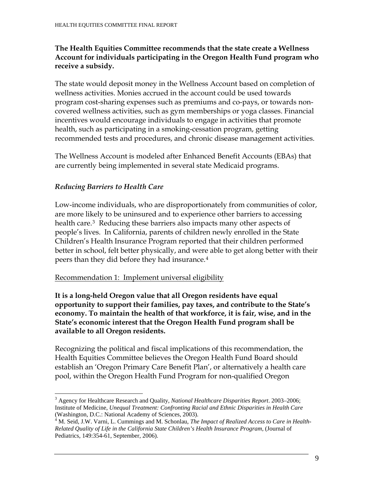## **The Health Equities Committee recommends that the state create a Wellness Account for individuals participating in the Oregon Health Fund program who receive a subsidy.**

The state would deposit money in the Wellness Account based on completion of wellness activities. Monies accrued in the account could be used towards program cost-sharing expenses such as premiums and co-pays, or towards noncovered wellness activities, such as gym memberships or yoga classes. Financial incentives would encourage individuals to engage in activities that promote health, such as participating in a smoking-cessation program, getting recommended tests and procedures, and chronic disease management activities.

The Wellness Account is modeled after Enhanced Benefit Accounts (EBAs) that are currently being implemented in several state Medicaid programs.

## *Reducing Barriers to Health Care*

Low-income individuals, who are disproportionately from communities of color, are more likely to be uninsured and to experience other barriers to accessing health care.<sup>[3](#page-8-0)</sup> Reducing these barriers also impacts many other aspects of people's lives. In California, parents of children newly enrolled in the State Children's Health Insurance Program reported that their children performed better in school, felt better physically, and were able to get along better with the ir peers than they did before they had insuran ce.4

## Recommendation 1: Implement universal eligibility

**It is a long-held Oregon value that all Oregon residents have equal opportunity to support their families, pay taxes, and contribute to the State's economy. To maintain the health of that workforce, it is fair, wise, and in the State's economic interest that the Oregon Health Fund program shall be available to all Oregon residents.** 

Recognizing the political and fiscal implications of this recommendation, the Health Equities Committee believes the Oregon Health Fund Board should establish an 'Oregon Primary Care Benefit Plan', or alternatively a health care pool, within the Oregon Health Fund Program for non-qualified Oregon

<sup>1</sup> 3 Agency for Healthcare Research and Quality*, National Healthcare Disparities Report*. 2003–2006; Institute of Medicine, *Unequal Treatment: Confronting Racial and Ethnic Disparities in Health Care*

<span id="page-8-0"></span><sup>(</sup>Washington, D.C.: National Academy of Sciences, 2003). 4 M. Seid, J.W. Varni, L. Cummings and M. Schonlau, *The Impact of Realized Access to Care in Health-Related Quality of Life in the California State Children's Health Insurance Program,* (Journal of Pediatrics, 149:354-61, September, 2006).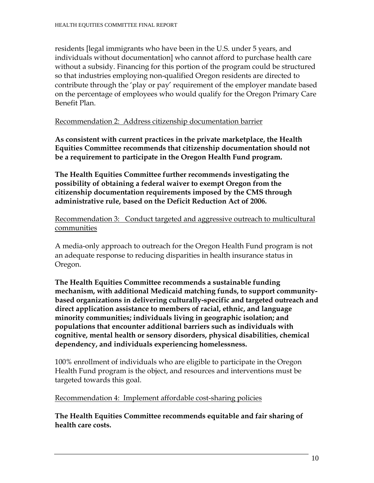residents [legal immigrants who have been in the U.S. under 5 years, and individuals without documentation] who cannot afford to purchase health care without a subsidy. Financing for this portion of the program could be structured so that industries employing non-qualified Oregon residents are directed to contribute through the 'play or pay' requirement of the employer mandate based on the percentage of employees who would qualify for the Oregon Primary Care Benefit Plan.

Recommendation 2: Address citizenship documentation barrier

**As consistent with current practices in the private marketplace, the Health Equities Committee recommends that citizenship documentation should not be a requirement to participate in the Oregon Health Fund program.** 

**The Health Equities Committee further recommends investigating the possibility of obtaining a federal waiver to exempt Oregon from the citizenship documentation requirements imposed by the CMS through administrative rule, based on the Deficit Reduction Act of 2006.** 

Recommendation 3: Conduct targeted and aggressive outreach to multicultural communities

A media-only approach to outreach for the Oregon Health Fund program is not an adequate response to reducing disparities in health insurance status in Oregon.

**The Health Equities Committee recommends a sustainable funding mechanism, with additional Medicaid matching funds, to support communitybased organizations in delivering culturally-specific and targeted outreach and direct application assistance to members of racial, ethnic, and language minority communities; individuals living in geographic isolation; and populations that encounter additional barriers such as individuals with cognitive, mental health or sensory disorders, physical disabilities, chemical dependency, and individuals experiencing homelessness.** 

100% enrollment of individuals who are eligible to participate in the Oregon Health Fund program is the object, and resources and interventions must be targeted towards this goal.

Recommendation 4: Implement affordable cost-sharing policies

**The Health Equities Committee recommends equitable and fair sharing of health care costs.**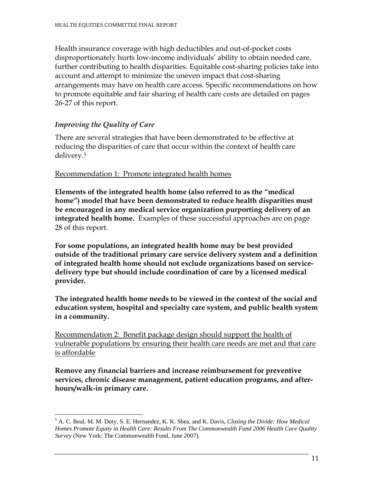<span id="page-10-0"></span>Health insurance coverage with high deductibles and out-of-pocket costs disproportionately hurts low-income individuals' ability to obtain needed care, further contributing to health disparities. Equitable cost-sharing policies take into account and attempt to minimize the uneven impact that cost-sharing arrangements may have on health care access. Specific recommendations on how to promote equitable and fair sharing of health care costs are detailed on pages 26-27 of this report.

## *Improving the Quality of Care*

 $\overline{a}$ 

There are several strategies that have been demonstrated to be effective at reducing the disparities of care that occur within the context of health care delivery.[5](#page-10-0)

## Recommendation 1: Promote integrated health homes

**Elements of the integrated health home (also referred to as the "medical home") model that have been demonstrated to reduce health disparities must be encouraged in any medical service organization purporting delivery of an integrated health home.** Examples of these successful approaches are on page 28 of this report.

**For some populations, an integrated health home may be best provided outside of the traditional primary care service delivery system and a definition of integrated health home should not exclude organizations based on servicedelivery type but should include coordination of care by a licensed medical provider.** 

**The integrated health home needs to be viewed in the context of the social and education system, hospital and specialty care system, and public health system in a community.** 

Recommendation 2: Benefit package design should support the health of vulnerable populations by ensuring their health care needs are met and that care is affordable

**Remove any financial barriers and increase reimbursement for preventive services, chronic disease management, patient education programs, and afterhours/walk-in primary care.**

<sup>5</sup> A. C. Beal, M. M. Doty, S. E. Hernandez, K. K. Shea, and K. Davis*, Closing the Divide: How Medical Homes Promote Equity in Health Care: Results From The Commonwealth Fund 2006 Health Care Quality Survey* (New York: The Commonwealth Fund, June 2007).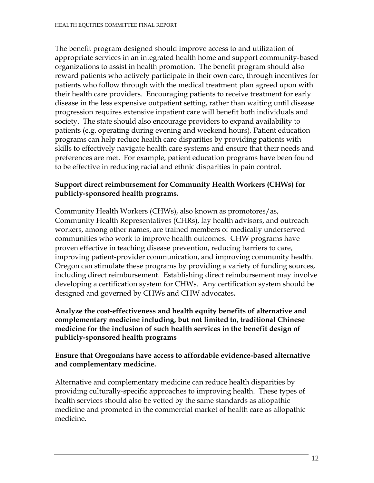The benefit program designed should improve access to and utilization of appropriate services in an integrated health home and support community-based organizations to assist in health promotion. The benefit program should also reward patients who actively participate in their own care, through incentives for patients who follow through with the medical treatment plan agreed upon with their health care providers. Encouraging patients to receive treatment for early disease in the less expensive outpatient setting, rather than waiting until disease progression requires extensive inpatient care will benefit both individuals and society. The state should also encourage providers to expand availability to patients (e.g. operating during evening and weekend hours). Patient education programs can help reduce health care disparities by providing patients with skills to effectively navigate health care systems and ensure that their needs and preferences are met. For example, patient education programs have been found to be effective in reducing racial and ethnic disparities in pain control.

## **Support direct reimbursement for Community Health Workers (CHWs) for publicly-sponsored health programs.**

Community Health Workers (CHWs), also known as promotores/as, Community Health Representatives (CHRs), lay health advisors, and outreach workers, among other names, are trained members of medically underserved communities who work to improve health outcomes. CHW programs have proven effective in teaching disease prevention, reducing barriers to care, improving patient-provider communication, and improving community health. Oregon can stimulate these programs by providing a variety of funding sources, including direct reimbursement. Establishing direct reimbursement may involve developing a certification system for CHWs. Any certification system should be designed and governed by CHWs and CHW advocates**.** 

**Analyze the cost-effectiveness and health equity benefits of alternative and complementary medicine including, but not limited to, traditional Chinese medicine for the inclusion of such health services in the benefit design of publicly-sponsored health programs**

## **Ensure that Oregonians have access to affordable evidence-based alternative and complementary medicine.**

Alternative and complementary medicine can reduce health disparities by providing culturally-specific approaches to improving health. These types of health services should also be vetted by the same standards as allopathic medicine and promoted in the commercial market of health care as allopathic medicine.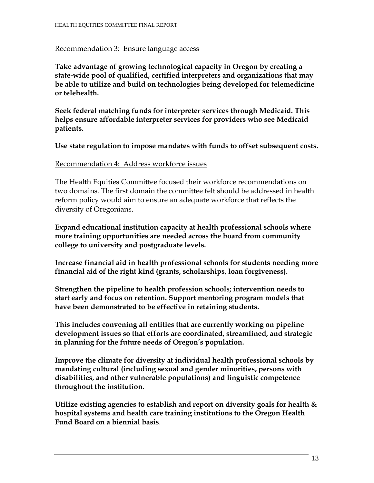## Recommendation 3: Ensure language access

**Take advantage of growing technological capacity in Oregon by creating a state-wide pool of qualified, certified interpreters and organizations that may be able to utilize and build on technologies being developed for telemedicine or telehealth.** 

**Seek federal matching funds for interpreter services through Medicaid. This helps ensure affordable interpreter services for providers who see Medicaid patients.** 

**Use state regulation to impose mandates with funds to offset subsequent costs.** 

### Recommendation 4: Address workforce issues

The Health Equities Committee focused their workforce recommendations on two domains. The first domain the committee felt should be addressed in health reform policy would aim to ensure an adequate workforce that reflects the diversity of Oregonians.

**Expand educational institution capacity at health professional schools where more training opportunities are needed across the board from community college to university and postgraduate levels.** 

**Increase financial aid in health professional schools for students needing more financial aid of the right kind (grants, scholarships, loan forgiveness).**

**Strengthen the pipeline to health profession schools; intervention needs to start early and focus on retention. Support mentoring program models that have been demonstrated to be effective in retaining students.** 

**This includes convening all entities that are currently working on pipeline development issues so that efforts are coordinated, streamlined, and strategic in planning for the future needs of Oregon's population.** 

**Improve the climate for diversity at individual health professional schools by mandating cultural (including sexual and gender minorities, persons with disabilities, and other vulnerable populations) and linguistic competence throughout the institution.**

**Utilize existing agencies to establish and report on diversity goals for health & hospital systems and health care training institutions to the Oregon Health Fund Board on a biennial basis**.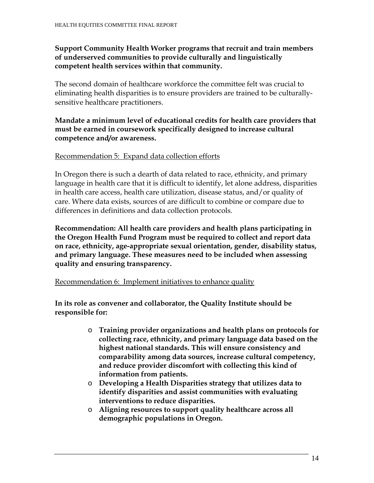## **Support Community Health Worker programs that recruit and train members of underserved communities to provide culturally and linguistically competent health services within that community.**

The second domain of healthcare workforce the committee felt was crucial to eliminating health disparities is to ensure providers are trained to be culturallysensitive healthcare practitioners.

## **Mandate a minimum level of educational credits for health care providers that must be earned in coursework specifically designed to increase cultural competence and/or awareness.**

## Recommendation 5: Expand data collection efforts

In Oregon there is such a dearth of data related to race, ethnicity, and primary language in health care that it is difficult to identify, let alone address, disparities in health care access, health care utilization, disease status, and/or quality of care. Where data exists, sources of are difficult to combine or compare due to differences in definitions and data collection protocols.

**Recommendation: All health care providers and health plans participating in the Oregon Health Fund Program must be required to collect and report data on race, ethnicity, age-appropriate sexual orientation, gender, disability status, and primary language. These measures need to be included when assessing quality and ensuring transparency.** 

## Recommendation 6: Implement initiatives to enhance quality

**In its role as convener and collaborator, the Quality Institute should be responsible for:**

- o **Training provider organizations and health plans on protocols for collecting race, ethnicity, and primary language data based on the highest national standards. This will ensure consistency and comparability among data sources, increase cultural competency, and reduce provider discomfort with collecting this kind of information from patients.**
- o **Developing a Health Disparities strategy that utilizes data to identify disparities and assist communities with evaluating interventions to reduce disparities.**
- o **Aligning resources to support quality healthcare across all demographic populations in Oregon.**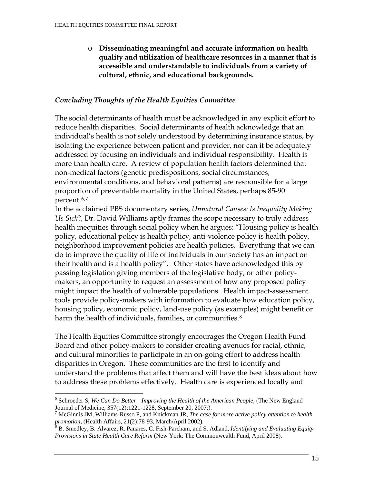<span id="page-14-0"></span>o **Disseminating meaningful and accurate information on health quality and utilization of healthcare resources in a manner that is accessible and understandable to individuals from a variety of cultural, ethnic, and educational backgrounds.** 

## *Concluding Thoughts of the Health Equities Committee*

The social determinants of health must be acknowledged in any explicit effort to reduce health disparities. Social determinants of health acknowledge that an individual's health is not solely understood by determining insurance status, by isolating the experience between patient and provider, nor can it be adequately addressed by focusing on individuals and individual responsibility. Health is more than health care. A review of population health factors determined that non-medical factors (genetic predispositions, social circumstances, environmental conditions, and behavioral patterns) are responsible for a large proportion of preventable mortality in the United States, perhaps 85-90 percent.[6](#page-14-0),[7](#page-14-0)

In the acclaimed PBS documentary series, *Unnatural Causes: Is Inequality Making Us Sick*?, Dr. David Williams aptly frames the scope necessary to truly address health inequities through social policy when he argues: "Housing policy is health policy, educational policy is health policy, anti-violence policy is health policy, neighborhood improvement policies are health policies. Everything that we can do to improve the quality of life of individuals in our society has an impact on their health and is a health policy". Other states have acknowledged this by passing legislation giving members of the legislative body, or other policymakers, an opportunity to request an assessment of how any proposed policy might impact the health of vulnerable populations. Health impact-assessment tools provide policy-makers with information to evaluate how education policy, housing policy, economic policy, land-use policy (as examples) might benefit or harm the health of individuals, families, or communities.<sup>[8](#page-14-0)</sup>

The Health Equities Committee strongly encourages the Oregon Health Fund Board and other policy-makers to consider creating avenues for racial, ethnic, and cultural minorities to participate in an on-going effort to address health disparities in Oregon. These communities are the first to identify and understand the problems that affect them and will have the best ideas about how to address these problems effectively. Health care is experienced locally and

 $\overline{a}$ 6 Schroeder S, *We Can Do Better—Improving the Health of the American People,* (The New England Journal of Medicine, 357(12):1221-1228, September 20, 2007;).

<sup>7</sup> McGinnis JM, Williams-Russo P, and Knickman JR, *The case for more active policy attention to health*  promotion, (Health Affairs, 21(2):78-93, March/April 2002).<br><sup>8</sup> B. Smedley, B. Alvarez, R. Panares, C. Fish-Parcham, and S. Adland, *Identifying and Evaluating Equity* 

*Provisions in State Health Care Reform* (New York: The Commonwealth Fund, April 2008).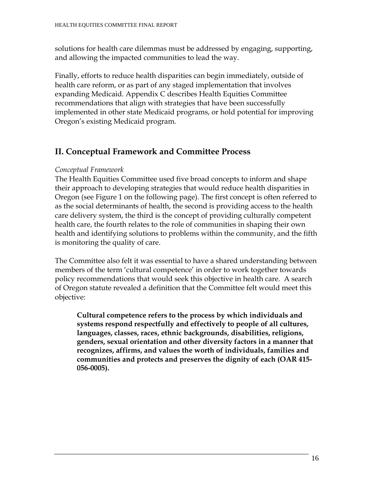solutions for health care dilemmas must be addressed by engaging, supporting, and allowing the impacted communities to lead the way.

Finally, efforts to reduce health disparities can begin immediately, outside of health care reform, or as part of any staged implementation that involves expanding Medicaid. Appendix C describes Health Equities Committee recommendations that align with strategies that have been successfully implemented in other state Medicaid programs, or hold potential for improving Oregon's existing Medicaid program.

# **II. Conceptual Framework and Committee Process**

## *Conceptual Framework*

The Health Equities Committee used five broad concepts to inform and shape their approach to developing strategies that would reduce health disparities in Oregon (see Figure 1 on the following page). The first concept is often referred to as the social determinants of health, the second is providing access to the health care delivery system, the third is the concept of providing culturally competent health care, the fourth relates to the role of communities in shaping their own health and identifying solutions to problems within the community, and the fifth is monitoring the quality of care.

The Committee also felt it was essential to have a shared understanding between members of the term 'cultural competence' in order to work together towards policy recommendations that would seek this objective in health care. A search of Oregon statute revealed a definition that the Committee felt would meet this objective:

**Cultural competence refers to the process by which individuals and systems respond respectfully and effectively to people of all cultures, languages, classes, races, ethnic backgrounds, disabilities, religions, genders, sexual orientation and other diversity factors in a manner that recognizes, affirms, and values the worth of individuals, families and communities and protects and preserves the dignity of each (OAR 415- 056-0005).**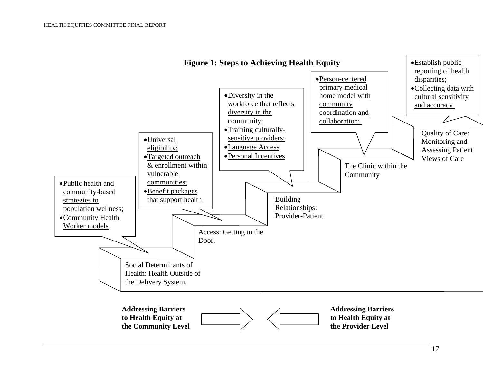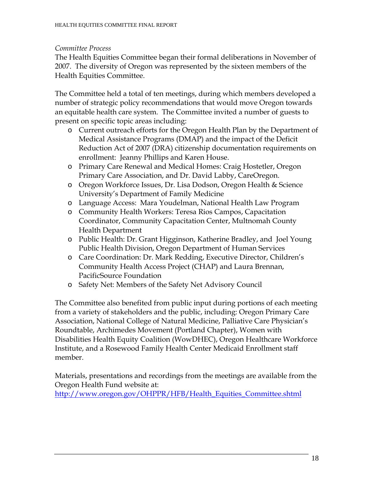## *Committee Process*

The Health Equities Committee began their formal deliberations in November of 2007. The diversity of Oregon was represented by the sixteen members of the Health Equities Committee.

The Committee held a total of ten meetings, during which members developed a number of strategic policy recommendations that would move Oregon towards an equitable health care system. The Committee invited a number of guests to present on specific topic areas including:

- o Current outreach efforts for the Oregon Health Plan by the Department of Medical Assistance Programs (DMAP) and the impact of the Deficit Reduction Act of 2007 (DRA) citizenship documentation requirements on enrollment: Jeanny Phillips and Karen House.
- o Primary Care Renewal and Medical Homes: Craig Hostetler, Oregon Primary Care Association, and Dr. David Labby, CareOregon.
- o Oregon Workforce Issues, Dr. Lisa Dodson, Oregon Health & Science University's Department of Family Medicine
- o Language Access: Mara Youdelman, National Health Law Program
- o Community Health Workers: Teresa Rios Campos, Capacitation Coordinator, Community Capacitation Center, Multnomah County Health Department
- o Public Health: Dr. Grant Higginson, Katherine Bradley, and Joel Young Public Health Division, Oregon Department of Human Services
- o Care Coordination: Dr. Mark Redding, Executive Director, Children's Community Health Access Project (CHAP) and Laura Brennan, PacificSource Foundation
- o Safety Net: Members of the Safety Net Advisory Council

The Committee also benefited from public input during portions of each meeting from a variety of stakeholders and the public, including: Oregon Primary Care Association, National College of Natural Medicine, Palliative Care Physician's Roundtable, Archimedes Movement (Portland Chapter), Women with Disabilities Health Equity Coalition (WowDHEC), Oregon Healthcare Workforce Institute, and a Rosewood Family Health Center Medicaid Enrollment staff member.

Materials, presentations and recordings from the meetings are available from the Oregon Health Fund website at: [http://www.oregon.gov/OHPPR/HFB/Health\\_Equities\\_Committee.shtml](http://www.oregon.gov/OHPPR/HFB/Health_Equities_Committee.shtml)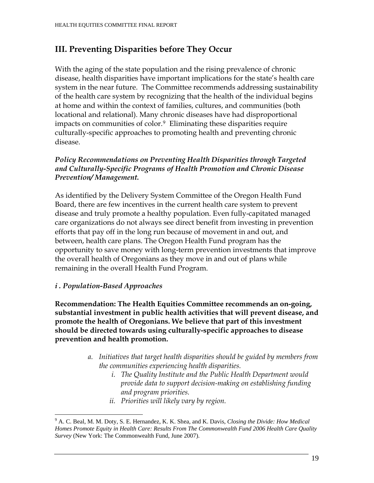# <span id="page-18-0"></span>**III. Preventing Disparities before They Occur**

With the aging of the state population and the rising prevalence of chronic disease, health disparities have important implications for the state's health care system in the near future. The Committee recommends addressing sustainability of the health care system by recognizing that the health of the individual begins at home and within the context of families, cultures, and communities (both locational and relational). Many chronic diseases have had disproportional impacts on communities of color.[9](#page-18-0) Eliminating these disparities require culturally-specific approaches to promoting health and preventing chronic disease.

## *Policy Recommendations on Preventing Health Disparities through Targeted and Culturally-Specific Programs of Health Promotion and Chronic Disease Prevention/ Management.*

As identified by the Delivery System Committee of the Oregon Health Fund Board, there are few incentives in the current health care system to prevent disease and truly promote a healthy population. Even fully-capitated managed care organizations do not always see direct benefit from investing in prevention efforts that pay off in the long run because of movement in and out, and between, health care plans. The Oregon Health Fund program has the opportunity to save money with long-term prevention investments that improve the overall health of Oregonians as they move in and out of plans while remaining in the overall Health Fund Program.

## *i . Population-Based Approaches*

1

**Recommendation: The Health Equities Committee recommends an on-going, substantial investment in public health activities that will prevent disease, and promote the health of Oregonians. We believe that part of this investment should be directed towards using culturally-specific approaches to disease prevention and health promotion.** 

- *a. Initiatives that target health disparities should be guided by members from the communities experiencing health disparities.* 
	- *i. The Quality Institute and the Public Health Department would provide data to support decision-making on establishing funding and program priorities.*
	- *ii. Priorities will likely vary by region.*

<sup>9</sup> A. C. Beal, M. M. Doty, S. E. Hernandez, K. K. Shea, and K. Davis, *Closing the Divide: How Medical Homes Promote Equity in Health Care: Results From The Commonwealth Fund 2006 Health Care Quality Survey* (New York: The Commonwealth Fund, June 2007).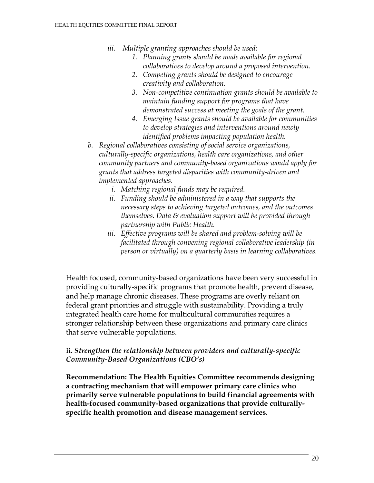- *iii. Multiple granting approaches should be used:* 
	- *1. Planning grants should be made available for regional collaboratives to develop around a proposed intervention.*
	- *2. Competing grants should be designed to encourage creativity and collaboration.*
	- *3. Non-competitive continuation grants should be available to maintain funding support for programs that have demonstrated success at meeting the goals of the grant.*
	- *4. Emerging Issue grants should be available for communities to develop strategies and interventions around newly identified problems impacting population health.*
- *b. Regional collaboratives consisting of social service organizations, culturally-specific organizations, health care organizations, and other community partners and community-based organizations would apply for grants that address targeted disparities with community-driven and implemented approaches.* 
	- *i. Matching regional funds may be required.*
	- *ii. Funding should be administered in a way that supports the necessary steps to achieving targeted outcomes, and the outcomes themselves. Data & evaluation support will be provided through partnership with Public Health.*
	- *iii. Effective programs will be shared and problem-solving will be facilitated through convening regional collaborative leadership (in person or virtually) on a quarterly basis in learning collaboratives.*

Health focused, community-based organizations have been very successful in providing culturally-specific programs that promote health, prevent disease, and help manage chronic diseases. These programs are overly reliant on federal grant priorities and struggle with sustainability. Providing a truly integrated health care home for multicultural communities requires a stronger relationship between these organizations and primary care clinics that serve vulnerable populations.

## **ii.** *Strengthen the relationship between providers and culturally-specific Community-Based Organizations (CBO's)*

**Recommendation: The Health Equities Committee recommends designing a contracting mechanism that will empower primary care clinics who primarily serve vulnerable populations to build financial agreements with health-focused community-based organizations that provide culturallyspecific health promotion and disease management services.**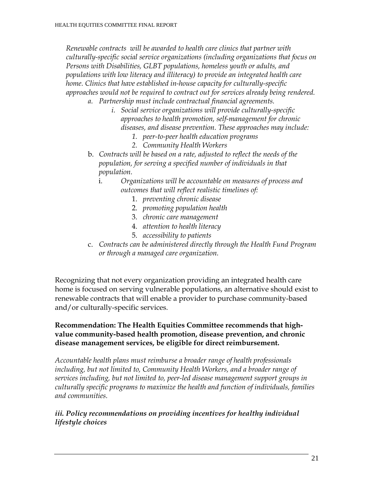*Renewable contracts will be awarded to health care clinics that partner with culturally-specific social service organizations (including organizations that focus on Persons with Disabilities, GLBT populations, homeless youth or adults, and populations with low literacy and illiteracy) to provide an integrated health care home. Clinics that have established in-house capacity for culturally-specific approaches would not be required to contract out for services already being rendered.* 

- *a. Partnership must include contractual financial agreements.* 
	- *i. Social service organizations will provide culturally-specific approaches to health promotion, self-management for chronic diseases, and disease prevention. These approaches may include:* 
		- *1. peer-to-peer health education programs*
		- *2. Community Health Workers*
- b. *Contracts will be based on a rate, adjusted to reflect the needs of the population, for serving a specified number of individuals in that population.*
	- i. *Organizations will be accountable on measures of process and outcomes that will reflect realistic timelines of:*
		- 1. *preventing chronic disease*
		- 2. *promoting population health*
		- 3. *chronic care management*
		- 4. *attention to health literacy*
		- 5. *accessibility to patients*
- c. *Contracts can be administered directly through the Health Fund Program or through a managed care organization.*

Recognizing that not every organization providing an integrated health care home is focused on serving vulnerable populations, an alternative should exist to renewable contracts that will enable a provider to purchase community-based and/or culturally-specific services.

## **Recommendation: The Health Equities Committee recommends that highvalue community-based health promotion, disease prevention, and chronic disease management services, be eligible for direct reimbursement.**

*Accountable health plans must reimburse a broader range of health professionals including, but not limited to, Community Health Workers, and a broader range of services including, but not limited to, peer-led disease management support groups in culturally specific programs to maximize the health and function of individuals, families and communities.*

*iii. Policy recommendations on providing incentives for healthy individual lifestyle choices*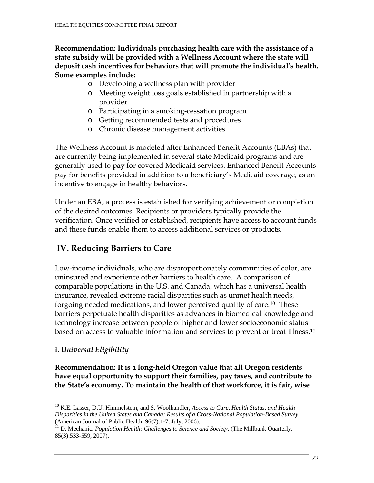<span id="page-21-0"></span>**Recommendation: Individuals purchasing health care with the assistance of a state subsidy will be provided with a Wellness Account where the state will deposit cash incentives for behaviors that will promote the individual's health. Some examples include:**

- o Developing a wellness plan with provider
- o Meeting weight loss goals established in partnership with a provider
- o Participating in a smoking-cessation program
- o Getting recommended tests and procedures
- o Chronic disease management activities

The Wellness Account is modeled after Enhanced Benefit Accounts (EBAs) that are currently being implemented in several state Medicaid programs and are generally used to pay for covered Medicaid services. Enhanced Benefit Accounts pay for benefits provided in addition to a beneficiary's Medicaid coverage, as an incentive to engage in healthy behaviors.

Under an EBA, a process is established for verifying achievement or completion of the desired outcomes. Recipients or providers typically provide the verification. Once verified or established, recipients have access to account funds and these funds enable them to access additional services or products.

# **IV. Reducing Barriers to Care**

Low-income individuals, who are disproportionately communities of color, are uninsured and experience other barriers to health care. A comparison of comparable populations in the U.S. and Canada, which has a universal health insurance, revealed extreme racial disparities such as unmet health needs, forgoing needed medications, and lower perceived quality of care.[10](#page-21-0) These barriers perpetuate health disparities as advances in biomedical knowledge and technology increase between people of higher and lower socioeconomic status based on access to valuable information and services to prevent or treat illness.[11](#page-21-0)

## **i.** *Universal Eligibility*

**Recommendation: It is a long-held Oregon value that all Oregon residents have equal opportunity to support their families, pay taxes, and contribute to the State's economy. To maintain the health of that workforce, it is fair, wise** 

 $\overline{a}$ 10 K.E. Lasser, D.U. Himmelstein, and S. Woolhandler, *Access to Care, Health Status, and Health Disparities in the United States and Canada: Results of a Cross-National Population-Based Survey* (American Journal of Public Health, 96(7):1-7, July, 2006).

<sup>&</sup>lt;sup>11</sup> D. Mechanic, *Population Health: Challenges to Science and Society*, (The Millbank Quarterly, 85(3):533-559, 2007).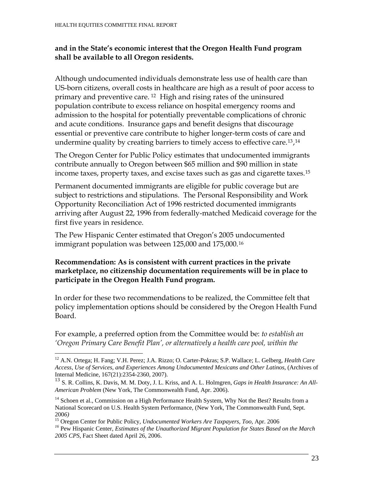## <span id="page-22-0"></span>**and in the State's economic interest that the Oregon Health Fund program shall be available to all Oregon residents.**

Although undocumented individuals demonstrate less use of health care than US-born citizens, overall costs in healthcare are high as a result of poor access to primary and preventive care. [12](#page-22-0) High and rising rates of the uninsured population contribute to excess reliance on hospital emergency rooms and admission to the hospital for potentially preventable complications of chronic and acute conditions. Insurance gaps and benefit designs that discourage essential or preventive care contribute to higher longer-term costs of care and undermine quality by creating barriers to timely access to effective care.<sup>[13](#page-22-0)</sup>,<sup>[14](#page-22-0)</sup>

The Oregon Center for Public Policy estimates that undocumented immigrants contribute annually to Oregon between \$65 million and \$90 million in state income taxes, property taxes, and excise taxes such as gas and cigarette taxes.[15](#page-22-0)

Permanent documented immigrants are eligible for public coverage but are subject to restrictions and stipulations. The Personal Responsibility and Work Opportunity Reconciliation Act of 1996 restricted documented immigrants arriving after August 22, 1996 from federally-matched Medicaid coverage for the first five years in residence.

The Pew Hispanic Center estimated that Oregon's 2005 undocumented immigrant population was between 125,000 and 175,000.[16](#page-22-0)

## **Recommendation: As is consistent with current practices in the private marketplace, no citizenship documentation requirements will be in place to participate in the Oregon Health Fund program.**

In order for these two recommendations to be realized, the Committee felt that policy implementation options should be considered by the Oregon Health Fund Board.

For example, a preferred option from the Committee would be: *to establish an 'Oregon Primary Care Benefit Plan', or alternatively a health care pool, within the* 

 $\overline{a}$ 

<sup>12</sup> A.N. Ortega; H. Fang; V.H. Perez; J.A. Rizzo; O. Carter-Pokras; S.P. Wallace; L. Gelberg, *Health Care Access, Use of Services, and Experiences Among Undocumented Mexicans and Other Latinos*, (Archives of Internal Medicine, 167(21):2354-2360, 2007).

<sup>13</sup> S. R. Collins, K. Davis, M. M. Doty, J. L. Kriss, and A. L. Holmgren, *Gaps in Health Insurance: An All-American Problem* (New York, The Commonwealth Fund, Apr. 2006).

<sup>&</sup>lt;sup>14</sup> Schoen et al., Commission on a High Performance Health System, Why Not the Best? Results from a National Scorecard on U.S. Health System Performance, (New York, The Commonwealth Fund, Sept. <sup>200</sup>*6)* 15 Oregon Center for Public Policy, *Undocumented Workers Are Taxpayers, Too,* Apr. 2006 *<sup>16</sup>* Pew Hispanic Center, *Estimates of the Unauthorized Migrant Population for States Based on the March* 

*<sup>2005</sup> CPS*, Fact Sheet dated April 26, 2006.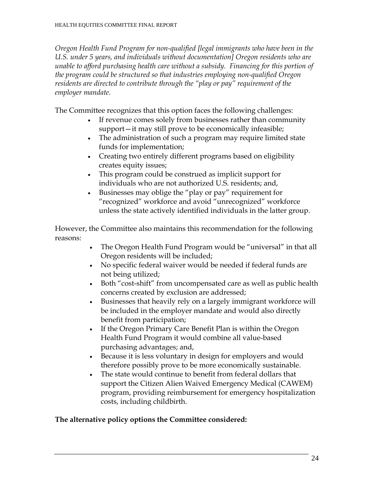*Oregon Health Fund Program for non-qualified [legal immigrants who have been in the U.S. under 5 years, and individuals without documentation] Oregon residents who are unable to afford purchasing health care without a subsidy. Financing for this portion of the program could be structured so that industries employing non-qualified Oregon residents are directed to contribute through the "play or pay" requirement of the employer mandate.* 

The Committee recognizes that this option faces the following challenges:

- If revenue comes solely from businesses rather than community support—it may still prove to be economically infeasible;
- The administration of such a program may require limited state funds for implementation;
- Creating two entirely different programs based on eligibility creates equity issues;
- This program could be construed as implicit support for individuals who are not authorized U.S. residents; and,
- Businesses may oblige the "play or pay" requirement for "recognized" workforce and avoid "unrecognized" workforce unless the state actively identified individuals in the latter group.

However, the Committee also maintains this recommendation for the following reasons:

- The Oregon Health Fund Program would be "universal" in that all Oregon residents will be included;
- No specific federal waiver would be needed if federal funds are not being utilized;
- Both "cost-shift" from uncompensated care as well as public health concerns created by exclusion are addressed;
- Businesses that heavily rely on a largely immigrant workforce will be included in the employer mandate and would also directly benefit from participation;
- If the Oregon Primary Care Benefit Plan is within the Oregon Health Fund Program it would combine all value-based purchasing advantages; and,
- Because it is less voluntary in design for employers and would therefore possibly prove to be more economically sustainable.
- The state would continue to benefit from federal dollars that support the Citizen Alien Waived Emergency Medical (CAWEM) program, providing reimbursement for emergency hospitalization costs, including childbirth.

**The alternative policy options the Committee considered:**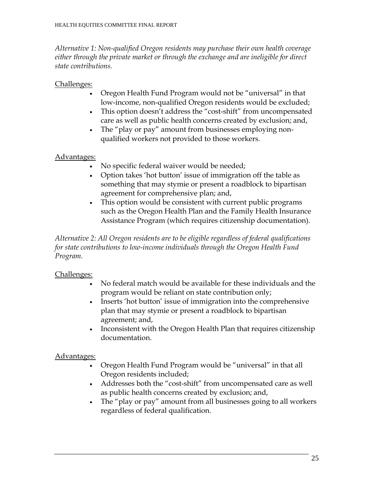*Alternative 1: Non-qualified Oregon residents may purchase their own health coverage either through the private market or through the exchange and are ineligible for direct state contributions.* 

## Challenges:

- Oregon Health Fund Program would not be "universal" in that low-income, non-qualified Oregon residents would be excluded;
- This option doesn't address the "cost-shift" from uncompensated care as well as public health concerns created by exclusion; and,
- The "play or pay" amount from businesses employing nonqualified workers not provided to those workers.

# Advantages:

- No specific federal waiver would be needed;
- Option takes 'hot button' issue of immigration off the table as something that may stymie or present a roadblock to bipartisan agreement for comprehensive plan; and,
- This option would be consistent with current public programs such as the Oregon Health Plan and the Family Health Insurance Assistance Program (which requires citizenship documentation).

*Alternative 2: All Oregon residents are to be eligible regardless of federal qualifications for state contributions to low-income individuals through the Oregon Health Fund Program.* 

## Challenges:

- No federal match would be available for these individuals and the program would be reliant on state contribution only;
- Inserts 'hot button' issue of immigration into the comprehensive plan that may stymie or present a roadblock to bipartisan agreement; and,
- Inconsistent with the Oregon Health Plan that requires citizenship documentation.

## Advantages:

- Oregon Health Fund Program would be "universal" in that all Oregon residents included;
- Addresses both the "cost-shift" from uncompensated care as well as public health concerns created by exclusion; and,
- The "play or pay" amount from all businesses going to all workers regardless of federal qualification.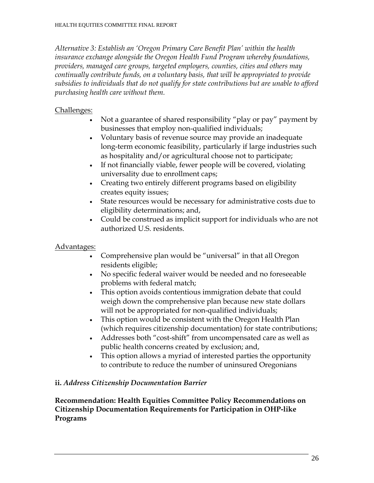*Alternative 3: Establish an 'Oregon Primary Care Benefit Plan' within the health insurance exchange alongside the Oregon Health Fund Program whereby foundations, providers, managed care groups, targeted employers, counties, cities and others may continually contribute funds, on a voluntary basis, that will be appropriated to provide subsidies to individuals that do not qualify for state contributions but are unable to afford purchasing health care without them.* 

## Challenges:

- Not a guarantee of shared responsibility "play or pay" payment by businesses that employ non-qualified individuals;
- Voluntary basis of revenue source may provide an inadequate long-term economic feasibility, particularly if large industries such as hospitality and/or agricultural choose not to participate;
- If not financially viable, fewer people will be covered, violating universality due to enrollment caps;
- Creating two entirely different programs based on eligibility creates equity issues;
- State resources would be necessary for administrative costs due to eligibility determinations; and,
- Could be construed as implicit support for individuals who are not authorized U.S. residents.

## Advantages:

- Comprehensive plan would be "universal" in that all Oregon residents eligible;
- No specific federal waiver would be needed and no foreseeable problems with federal match;
- This option avoids contentious immigration debate that could weigh down the comprehensive plan because new state dollars will not be appropriated for non-qualified individuals;
- This option would be consistent with the Oregon Health Plan (which requires citizenship documentation) for state contributions;
- Addresses both "cost-shift" from uncompensated care as well as public health concerns created by exclusion; and,
- This option allows a myriad of interested parties the opportunity to contribute to reduce the number of uninsured Oregonians

## **ii.** *Address Citizenship Documentation Barrier*

**Recommendation: Health Equities Committee Policy Recommendations on Citizenship Documentation Requirements for Participation in OHP-like Programs**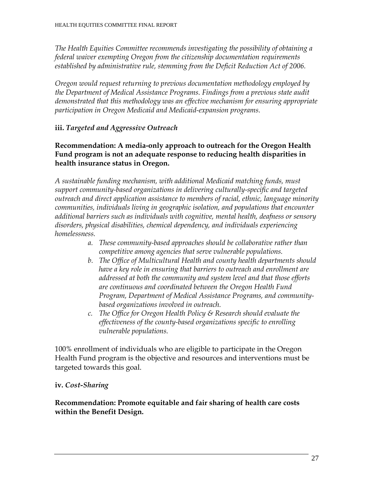*The Health Equities Committee recommends investigating the possibility of obtaining a federal waiver exempting Oregon from the citizenship documentation requirements established by administrative rule, stemming from the Deficit Reduction Act of 2006.* 

*Oregon would request returning to previous documentation methodology employed by the Department of Medical Assistance Programs. Findings from a previous state audit demonstrated that this methodology was an effective mechanism for ensuring appropriate participation in Oregon Medicaid and Medicaid-expansion programs.*

## **iii.** *Targeted and Aggressive Outreach*

## **Recommendation: A media-only approach to outreach for the Oregon Health Fund program is not an adequate response to reducing health disparities in health insurance status in Oregon.**

*A sustainable funding mechanism, with additional Medicaid matching funds, must support community-based organizations in delivering culturally-specific and targeted outreach and direct application assistance to members of racial, ethnic, language minority communities, individuals living in geographic isolation, and populations that encounter additional barriers such as individuals with cognitive, mental health, deafness or sensory disorders, physical disabilities, chemical dependency, and individuals experiencing homelessness.* 

- *a. These community-based approaches should be collaborative rather than competitive among agencies that serve vulnerable populations.*
- *b. The Office of Multicultural Health and county health departments should have a key role in ensuring that barriers to outreach and enrollment are addressed at both the community and system level and that those efforts are continuous and coordinated between the Oregon Health Fund Program, Department of Medical Assistance Programs, and communitybased organizations involved in outreach.*
- *c. The Office for Oregon Health Policy & Research should evaluate the effectiveness of the county-based organizations specific to enrolling vulnerable populations.*

100% enrollment of individuals who are eligible to participate in the Oregon Health Fund program is the objective and resources and interventions must be targeted towards this goal.

## **iv.** *Cost-Sharing*

**Recommendation: Promote equitable and fair sharing of health care costs within the Benefit Design.**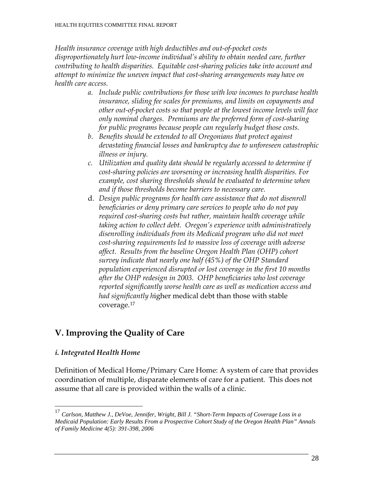<span id="page-27-0"></span>*Health insurance coverage with high deductibles and out-of-pocket costs disproportionately hurt low-income individual's ability to obtain needed care, further contributing to health disparities. Equitable cost-sharing policies take into account and attempt to minimize the uneven impact that cost-sharing arrangements may have on health care access.* 

- *a. Include public contributions for those with low incomes to purchase health insurance, sliding fee scales for premiums, and limits on copayments and other out-of-pocket costs so that people at the lowest income levels will face only nominal charges. Premiums are the preferred form of cost-sharing for public programs because people can regularly budget those costs.*
- *b. Benefits should be extended to all Oregonians that protect against devastating financial losses and bankruptcy due to unforeseen catastrophic illness or injury.*
- *c. Utilization and quality data should be regularly accessed to determine if cost-sharing policies are worsening or increasing health disparities. For example, cost sharing thresholds should be evaluated to determine when and if those thresholds become barriers to necessary care.*
- d. *Design public programs for health care assistance that do not disenroll beneficiaries or deny primary care services to people who do not pay required cost-sharing costs but rather, maintain health coverage while taking action to collect debt. Oregon's experience with administratively disenrolling individuals from its Medicaid program who did not meet cost-sharing requirements led to massive loss of coverage with adverse affect. Results from the baseline Oregon Health Plan (OHP) cohort survey indicate that nearly one half (45%) of the OHP Standard population experienced disrupted or lost coverage in the first 10 months after the OHP redesign in 2003. OHP beneficiaries who lost coverage reported significantly worse health care as well as medication access and had significantly h*igher medical debt than those with stable coverage.[17](#page-27-0)

# **V. Improving the Quality of Care**

## *i. Integrated Health Home*

 $\overline{a}$ 

Definition of Medical Home/Primary Care Home: A system of care that provides coordination of multiple, disparate elements of care for a patient. This does not assume that all care is provided within the walls of a clinic.

<sup>17</sup> *Carlson, Matthew J., DeVoe, Jennifer, Wright, Bill J. "Short-Term Impacts of Coverage Loss in a Medicaid Population: Early Results From a Prospective Cohort Study of the Oregon Health Plan" Annals of Family Medicine 4(5): 391-398, 2006*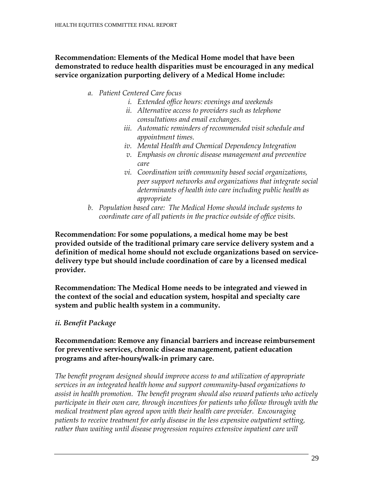## **Recommendation: Elements of the Medical Home model that have been demonstrated to reduce health disparities must be encouraged in any medical service organization purporting delivery of a Medical Home include:**

- *a. Patient Centered Care focus* 
	- *i. Extended office hours: evenings and weekends*
	- *ii. Alternative access to providers such as telephone consultations and email exchanges.*
	- *iii. Automatic reminders of recommended visit schedule and appointment times.*
	- *iv. Mental Health and Chemical Dependency Integration*
	- *v. Emphasis on chronic disease management and preventive care*
	- *vi. Coordination with community based social organizations, peer support networks and organizations that integrate social determinants of health into care including public health as appropriate*
- *b. Population based care: The Medical Home should include systems to coordinate care of all patients in the practice outside of office visits.*

**Recommendation: For some populations, a medical home may be best provided outside of the traditional primary care service delivery system and a definition of medical home should not exclude organizations based on servicedelivery type but should include coordination of care by a licensed medical provider.** 

**Recommendation: The Medical Home needs to be integrated and viewed in the context of the social and education system, hospital and specialty care system and public health system in a community.** 

## *ii. Benefit Package*

## **Recommendation: Remove any financial barriers and increase reimbursement for preventive services, chronic disease management, patient education programs and after-hours/walk-in primary care.**

*The benefit program designed should improve access to and utilization of appropriate services in an integrated health home and support community-based organizations to assist in health promotion. The benefit program should also reward patients who actively participate in their own care, through incentives for patients who follow through with the medical treatment plan agreed upon with their health care provider. Encouraging patients to receive treatment for early disease in the less expensive outpatient setting,*  rather than waiting until disease progression requires extensive inpatient care will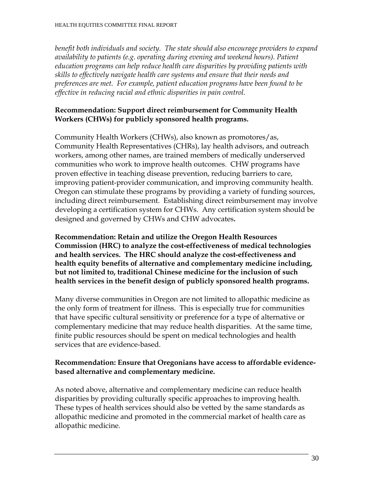*benefit both individuals and society. The state should also encourage providers to expand availability to patients (e.g. operating during evening and weekend hours). Patient education programs can help reduce health care disparities by providing patients with skills to effectively navigate health care systems and ensure that their needs and preferences are met. For example, patient education programs have been found to be effective in reducing racial and ethnic disparities in pain control.* 

## **Recommendation: Support direct reimbursement for Community Health Workers (CHWs) for publicly sponsored health programs.**

Community Health Workers (CHWs), also known as promotores/as, Community Health Representatives (CHRs), lay health advisors, and outreach workers, among other names, are trained members of medically underserved communities who work to improve health outcomes. CHW programs have proven effective in teaching disease prevention, reducing barriers to care, improving patient-provider communication, and improving community health. Oregon can stimulate these programs by providing a variety of funding sources, including direct reimbursement. Establishing direct reimbursement may involve developing a certification system for CHWs. Any certification system should be designed and governed by CHWs and CHW advocates**.** 

**Recommendation: Retain and utilize the Oregon Health Resources Commission (HRC) to analyze the cost-effectiveness of medical technologies and health services. The HRC should analyze the cost-effectiveness and health equity benefits of alternative and complementary medicine including, but not limited to, traditional Chinese medicine for the inclusion of such health services in the benefit design of publicly sponsored health programs.** 

Many diverse communities in Oregon are not limited to allopathic medicine as the only form of treatment for illness. This is especially true for communities that have specific cultural sensitivity or preference for a type of alternative or complementary medicine that may reduce health disparities. At the same time, finite public resources should be spent on medical technologies and health services that are evidence-based.

## **Recommendation: Ensure that Oregonians have access to affordable evidencebased alternative and complementary medicine.**

As noted above, alternative and complementary medicine can reduce health disparities by providing culturally specific approaches to improving health. These types of health services should also be vetted by the same standards as allopathic medicine and promoted in the commercial market of health care as allopathic medicine.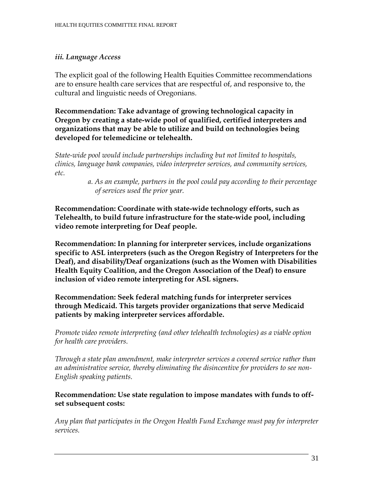## *iii. Language Access*

The explicit goal of the following Health Equities Committee recommendations are to ensure health care services that are respectful of, and responsive to, the cultural and linguistic needs of Oregonians.

**Recommendation: Take advantage of growing technological capacity in Oregon by creating a state-wide pool of qualified, certified interpreters and organizations that may be able to utilize and build on technologies being developed for telemedicine or telehealth.** 

*State-wide pool would include partnerships including but not limited to hospitals, clinics, language bank companies, video interpreter services, and community services, etc.* 

> *a. As an example, partners in the pool could pay according to their percentage of services used the prior year.*

**Recommendation: Coordinate with state-wide technology efforts, such as Telehealth, to build future infrastructure for the state-wide pool, including video remote interpreting for Deaf people.** 

**Recommendation: In planning for interpreter services, include organizations specific to ASL interpreters (such as the Oregon Registry of Interpreters for the Deaf), and disability/Deaf organizations (such as the Women with Disabilities Health Equity Coalition, and the Oregon Association of the Deaf) to ensure inclusion of video remote interpreting for ASL signers.** 

**Recommendation: Seek federal matching funds for interpreter services through Medicaid. This targets provider organizations that serve Medicaid patients by making interpreter services affordable.** 

*Promote video remote interpreting (and other telehealth technologies) as a viable option for health care providers.* 

*Through a state plan amendment, make interpreter services a covered service rather than an administrative service, thereby eliminating the disincentive for providers to see non-English speaking patients.* 

**Recommendation: Use state regulation to impose mandates with funds to offset subsequent costs:** 

*Any plan that participates in the Oregon Health Fund Exchange must pay for interpreter services.*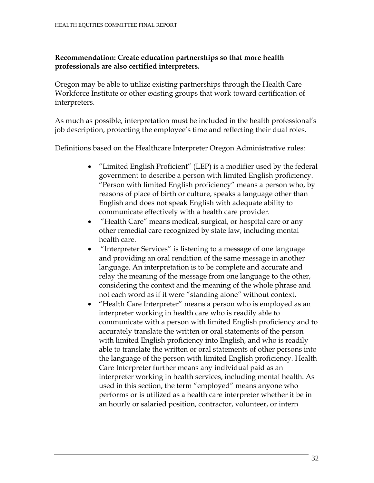## **Recommendation: Create education partnerships so that more health professionals are also certified interpreters.**

Oregon may be able to utilize existing partnerships through the Health Care Workforce Institute or other existing groups that work toward certification of interpreters.

As much as possible, interpretation must be included in the health professional's job description, protecting the employee's time and reflecting their dual roles.

Definitions based on the Healthcare Interpreter Oregon Administrative rules:

- "Limited English Proficient" (LEP) is a modifier used by the federal government to describe a person with limited English proficiency. "Person with limited English proficiency" means a person who, by reasons of place of birth or culture, speaks a language other than English and does not speak English with adequate ability to communicate effectively with a health care provider.
- "Health Care" means medical, surgical, or hospital care or any other remedial care recognized by state law, including mental health care.
- "Interpreter Services" is listening to a message of one language and providing an oral rendition of the same message in another language. An interpretation is to be complete and accurate and relay the meaning of the message from one language to the other, considering the context and the meaning of the whole phrase and not each word as if it were "standing alone" without context.
- "Health Care Interpreter" means a person who is employed as an interpreter working in health care who is readily able to communicate with a person with limited English proficiency and to accurately translate the written or oral statements of the person with limited English proficiency into English, and who is readily able to translate the written or oral statements of other persons into the language of the person with limited English proficiency. Health Care Interpreter further means any individual paid as an interpreter working in health services, including mental health. As used in this section, the term "employed" means anyone who performs or is utilized as a health care interpreter whether it be in an hourly or salaried position, contractor, volunteer, or intern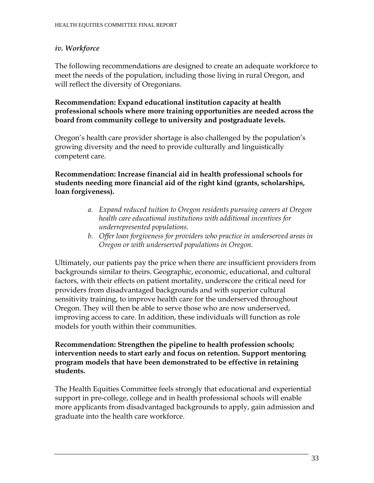## *iv. Workforce*

The following recommendations are designed to create an adequate workforce to meet the needs of the population, including those living in rural Oregon, and will reflect the diversity of Oregonians.

**Recommendation: Expand educational institution capacity at health professional schools where more training opportunities are needed across the board from community college to university and postgraduate levels.** 

Oregon's health care provider shortage is also challenged by the population's growing diversity and the need to provide culturally and linguistically competent care.

**Recommendation: Increase financial aid in health professional schools for students needing more financial aid of the right kind (grants, scholarships, loan forgiveness).**

- *a. Expand reduced tuition to Oregon residents pursuing careers at Oregon health care educational institutions with additional incentives for underrepresented populations.*
- *b. Offer loan forgiveness for providers who practice in underserved areas in Oregon or with underserved populations in Oregon.*

Ultimately, our patients pay the price when there are insufficient providers from backgrounds similar to theirs. Geographic, economic, educational, and cultural factors, with their effects on patient mortality, underscore the critical need for providers from disadvantaged backgrounds and with superior cultural sensitivity training, to improve health care for the underserved throughout Oregon. They will then be able to serve those who are now underserved, improving access to care. In addition, these individuals will function as role models for youth within their communities.

**Recommendation: Strengthen the pipeline to health profession schools; intervention needs to start early and focus on retention. Support mentoring program models that have been demonstrated to be effective in retaining students.** 

The Health Equities Committee feels strongly that educational and experiential support in pre-college, college and in health professional schools will enable more applicants from disadvantaged backgrounds to apply, gain admission and graduate into the health care workforce.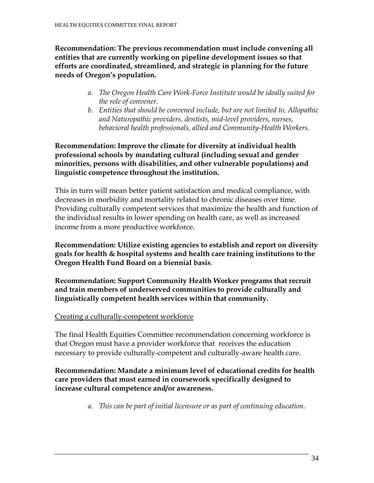**Recommendation: The previous recommendation must include convening all entities that are currently working on pipeline development issues so that efforts are coordinated, streamlined, and strategic in planning for the future needs of Oregon's population.** 

- *a. The Oregon Health Care Work-Force Institute would be ideally suited for the role of convener.*
- *b. Entities that should be convened include, but are not limited to, Allopathic and Naturopathic providers, dentists, mid-level providers, nurses, behavioral health professionals, allied and Community-Health Workers.*

**Recommendation: Improve the climate for diversity at individual health professional schools by mandating cultural (including sexual and gender minorities, persons with disabilities, and other vulnerable populations) and linguistic competence throughout the institution.**

This in turn will mean better patient satisfaction and medical compliance, with decreases in morbidity and mortality related to chronic diseases over time. Providing culturally competent services that maximize the health and function of the individual results in lower spending on health care, as well as increased income from a more productive workforce.

**Recommendation: Utilize existing agencies to establish and report on diversity goals for health & hospital systems and health care training institutions to the Oregon Health Fund Board on a biennial basis**.

**Recommendation: Support Community Health Worker programs that recruit and train members of underserved communities to provide culturally and linguistically competent health services within that community.** 

## Creating a culturally-competent workforce

The final Health Equities Committee recommendation concerning workforce is that Oregon must have a provider workforce that receives the education necessary to provide culturally-competent and culturally-aware health care.

## **Recommendation: Mandate a minimum level of educational credits for health care providers that must earned in coursework specifically designed to increase cultural competence and/or awareness.**

*a. This can be part of initial licensure or as part of continuing education.*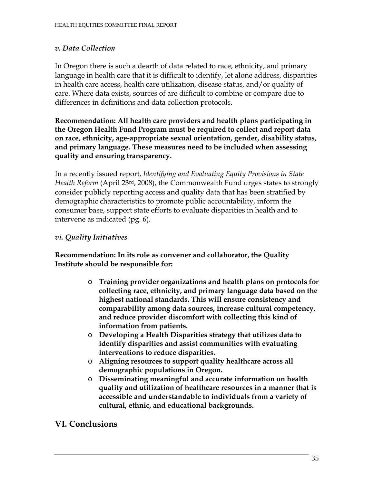## *v. Data Collection*

In Oregon there is such a dearth of data related to race, ethnicity, and primary language in health care that it is difficult to identify, let alone address, disparities in health care access, health care utilization, disease status, and/or quality of care. Where data exists, sources of are difficult to combine or compare due to differences in definitions and data collection protocols.

**Recommendation: All health care providers and health plans participating in the Oregon Health Fund Program must be required to collect and report data on race, ethnicity, age-appropriate sexual orientation, gender, disability status, and primary language. These measures need to be included when assessing quality and ensuring transparency.** 

In a recently issued report, *Identifying and Evaluating Equity Provisions in State Health Reform* (April 23rd, 2008), the Commonwealth Fund urges states to strongly consider publicly reporting access and quality data that has been stratified by demographic characteristics to promote public accountability, inform the consumer base, support state efforts to evaluate disparities in health and to intervene as indicated (pg. 6).

## *vi. Quality Initiatives*

**Recommendation: In its role as convener and collaborator, the Quality Institute should be responsible for:**

- o **Training provider organizations and health plans on protocols for collecting race, ethnicity, and primary language data based on the highest national standards. This will ensure consistency and comparability among data sources, increase cultural competency, and reduce provider discomfort with collecting this kind of information from patients.**
- o **Developing a Health Disparities strategy that utilizes data to identify disparities and assist communities with evaluating interventions to reduce disparities.**
- o **Aligning resources to support quality healthcare across all demographic populations in Oregon.**
- o **Disseminating meaningful and accurate information on health quality and utilization of healthcare resources in a manner that is accessible and understandable to individuals from a variety of cultural, ethnic, and educational backgrounds.**

# **VI. Conclusions**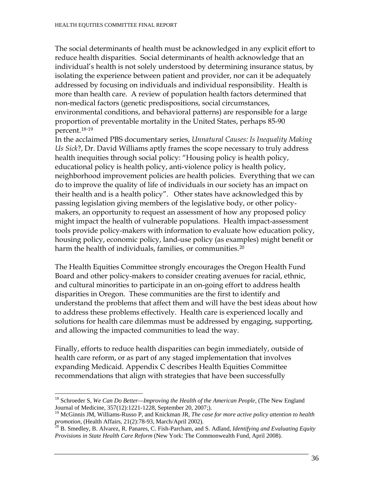<span id="page-35-0"></span>The social determinants of health must be acknowledged in any explicit effort to reduce health disparities. Social determinants of health acknowledge that an individual's health is not solely understood by determining insurance status, by isolating the experience between patient and provider, nor can it be adequately addressed by focusing on individuals and individual responsibility. Health is more than health care. A review of population health factors determined that non-medical factors (genetic predispositions, social circumstances, environmental conditions, and behavioral patterns) are responsible for a large proportion of preventable mortality in the United States, perhaps 85-90 percent.<sup>[18](#page-35-0),[19](#page-35-0)</sup>

In the acclaimed PBS documentary series, *Unnatural Causes: Is Inequality Making Us Sick*?, Dr. David Williams aptly frames the scope necessary to truly address health inequities through social policy: "Housing policy is health policy, educational policy is health policy, anti-violence policy is health policy, neighborhood improvement policies are health policies. Everything that we can do to improve the quality of life of individuals in our society has an impact on their health and is a health policy". Other states have acknowledged this by passing legislation giving members of the legislative body, or other policymakers, an opportunity to request an assessment of how any proposed policy might impact the health of vulnerable populations. Health impact-assessment tools provide policy-makers with information to evaluate how education policy, housing policy, economic policy, land-use policy (as examples) might benefit or harm the health of individuals, families, or communities.<sup>[20](#page-35-0)</sup>

The Health Equities Committee strongly encourages the Oregon Health Fund Board and other policy-makers to consider creating avenues for racial, ethnic, and cultural minorities to participate in an on-going effort to address health disparities in Oregon. These communities are the first to identify and understand the problems that affect them and will have the best ideas about how to address these problems effectively. Health care is experienced locally and solutions for health care dilemmas must be addressed by engaging, supporting, and allowing the impacted communities to lead the way.

Finally, efforts to reduce health disparities can begin immediately, outside of health care reform, or as part of any staged implementation that involves expanding Medicaid. Appendix C describes Health Equities Committee recommendations that align with strategies that have been successfully

 $\overline{a}$ 18 Schroeder S, *We Can Do Better—Improving the Health of the American People,* (The New England Journal of Medicine, 357(12):1221-1228, September 20, 2007;).

<sup>19</sup> McGinnis JM, Williams-Russo P, and Knickman JR, *The case for more active policy attention to health promotion,* (Health Affairs, 21(2):78-93, March/April 2002).<br><sup>20</sup> B. Smedley, B. Alvarez, R. Panares, C. Fish-Parcham, and S. Adland, *Identifying and Evaluating Equity* 

*Provisions in State Health Care Reform* (New York: The Commonwealth Fund, April 2008).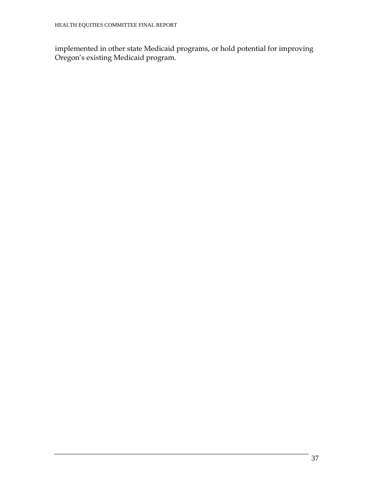implemented in other state Medicaid programs, or hold potential for improving Oregon's existing Medicaid program.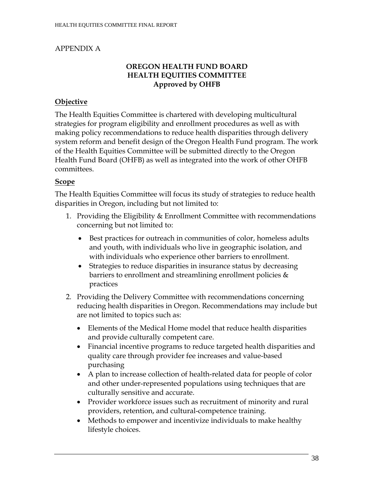## APPENDIX A

## **OREGON HEALTH FUND BOARD HEALTH EQUITIES COMMITTEE Approved by OHFB**

## **Objective**

The Health Equities Committee is chartered with developing multicultural strategies for program eligibility and enrollment procedures as well as with making policy recommendations to reduce health disparities through delivery system reform and benefit design of the Oregon Health Fund program. The work of the Health Equities Committee will be submitted directly to the Oregon Health Fund Board (OHFB) as well as integrated into the work of other OHFB committees.

## **Scope**

The Health Equities Committee will focus its study of strategies to reduce health disparities in Oregon, including but not limited to:

- 1. Providing the Eligibility & Enrollment Committee with recommendations concerning but not limited to:
	- Best practices for outreach in communities of color, homeless adults and youth, with individuals who live in geographic isolation, and with individuals who experience other barriers to enrollment.
	- Strategies to reduce disparities in insurance status by decreasing barriers to enrollment and streamlining enrollment policies & practices
- 2. Providing the Delivery Committee with recommendations concerning reducing health disparities in Oregon. Recommendations may include but are not limited to topics such as:
	- Elements of the Medical Home model that reduce health disparities and provide culturally competent care.
	- Financial incentive programs to reduce targeted health disparities and quality care through provider fee increases and value-based purchasing
	- A plan to increase collection of health-related data for people of color and other under-represented populations using techniques that are culturally sensitive and accurate.
	- Provider workforce issues such as recruitment of minority and rural providers, retention, and cultural-competence training.
	- Methods to empower and incentivize individuals to make healthy lifestyle choices.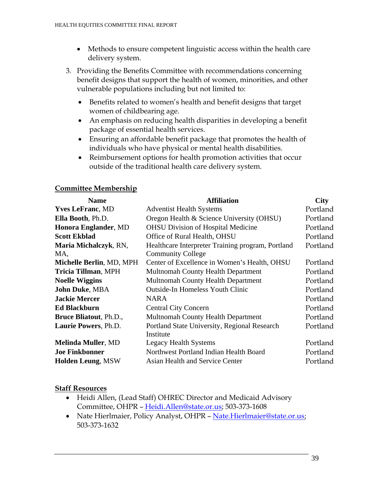- Methods to ensure competent linguistic access within the health care delivery system.
- 3. Providing the Benefits Committee with recommendations concerning benefit designs that support the health of women, minorities, and other vulnerable populations including but not limited to:
	- Benefits related to women's health and benefit designs that target women of childbearing age.
	- An emphasis on reducing health disparities in developing a benefit package of essential health services.
	- Ensuring an affordable benefit package that promotes the health of individuals who have physical or mental health disabilities.
	- Reimbursement options for health promotion activities that occur outside of the traditional health care delivery system.

## **Committee Membership**

| <b>Name</b>                   | <b>Affiliation</b>                                        | <b>City</b> |
|-------------------------------|-----------------------------------------------------------|-------------|
| <b>Yves LeFranc, MD</b>       | <b>Adventist Health Systems</b>                           | Portland    |
| Ella Booth, Ph.D.             | Oregon Health & Science University (OHSU)                 | Portland    |
| Honora Englander, MD          | <b>OHSU Division of Hospital Medicine</b>                 | Portland    |
| <b>Scott Ekblad</b>           | Office of Rural Health, OHSU                              | Portland    |
| Maria Michalczyk, RN,         | Healthcare Interpreter Training program, Portland         | Portland    |
| MA,                           | <b>Community College</b>                                  |             |
| Michelle Berlin, MD, MPH      | Center of Excellence in Women's Health, OHSU              | Portland    |
| Tricia Tillman, MPH           | <b>Multnomah County Health Department</b>                 | Portland    |
| <b>Noelle Wiggins</b>         | Multnomah County Health Department                        | Portland    |
| <b>John Duke, MBA</b>         | <b>Outside-In Homeless Youth Clinic</b>                   | Portland    |
| <b>Jackie Mercer</b>          | <b>NARA</b>                                               | Portland    |
| <b>Ed Blackburn</b>           | <b>Central City Concern</b>                               | Portland    |
| <b>Bruce Bliatout, Ph.D.,</b> | Multnomah County Health Department                        | Portland    |
| Laurie Powers, Ph.D.          | Portland State University, Regional Research<br>Institute | Portland    |
| <b>Melinda Muller, MD</b>     | Legacy Health Systems                                     | Portland    |
| <b>Joe Finkbonner</b>         | Northwest Portland Indian Health Board                    | Portland    |
| <b>Holden Leung, MSW</b>      | <b>Asian Health and Service Center</b>                    | Portland    |

## **Staff Resources**

- Heidi Allen, (Lead Staff) OHREC Director and Medicaid Advisory Committee, OHPR – [Heidi.Allen@state.or.us](mailto:Heidi.Allen@state.or.us); 503-373-1608
- Nate Hierlmaier, Policy Analyst, OHPR [Nate.Hierlmaier@state.or.us](mailto:Nate.Hierlmaier@state.or.us); 503-373-1632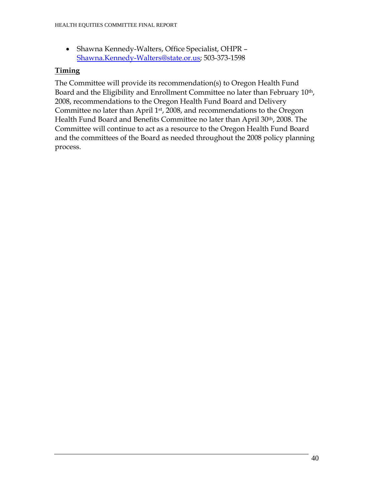• Shawna Kennedy-Walters, Office Specialist, OHPR – [Shawna.Kennedy-Walters@state.or.us;](mailto:Shawna.Kennedy-Walters@state.or.us) 503-373-1598

## **Timing**

The Committee will provide its recommendation(s) to Oregon Health Fund Board and the Eligibility and Enrollment Committee no later than February 10<sup>th</sup>, 2008, recommendations to the Oregon Health Fund Board and Delivery Committee no later than April 1st, 2008, and recommendations to the Oregon Health Fund Board and Benefits Committee no later than April 30<sup>th</sup>, 2008. The Committee will continue to act as a resource to the Oregon Health Fund Board and the committees of the Board as needed throughout the 2008 policy planning process.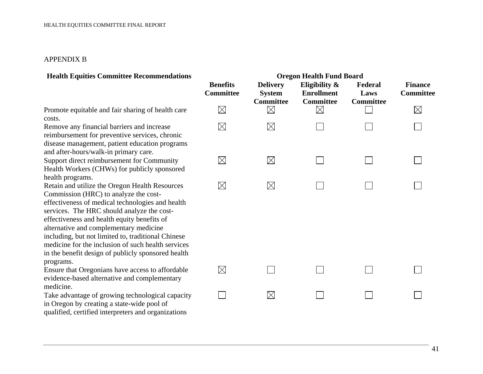#### APPENDIX B

| <b>Health Equities Committee Recommendations</b>                                                                                                                                                                                                                                                                                                                                                                                                                         | <b>Oregon Health Fund Board</b>     |                                                      |                                                           |                                     |                                    |  |
|--------------------------------------------------------------------------------------------------------------------------------------------------------------------------------------------------------------------------------------------------------------------------------------------------------------------------------------------------------------------------------------------------------------------------------------------------------------------------|-------------------------------------|------------------------------------------------------|-----------------------------------------------------------|-------------------------------------|------------------------------------|--|
|                                                                                                                                                                                                                                                                                                                                                                                                                                                                          | <b>Benefits</b><br><b>Committee</b> | <b>Delivery</b><br><b>System</b><br><b>Committee</b> | Eligibility $\&$<br><b>Enrollment</b><br><b>Committee</b> | Federal<br>Laws<br><b>Committee</b> | <b>Finance</b><br><b>Committee</b> |  |
| Promote equitable and fair sharing of health care<br>costs.                                                                                                                                                                                                                                                                                                                                                                                                              | $\boxtimes$                         | $\boxtimes$                                          | $\boxtimes$                                               |                                     | $\boxtimes$                        |  |
| Remove any financial barriers and increase<br>reimbursement for preventive services, chronic<br>disease management, patient education programs<br>and after-hours/walk-in primary care.                                                                                                                                                                                                                                                                                  | $\boxtimes$                         | $\boxtimes$                                          |                                                           |                                     |                                    |  |
| Support direct reimbursement for Community<br>Health Workers (CHWs) for publicly sponsored                                                                                                                                                                                                                                                                                                                                                                               | $\boxtimes$                         | $\boxtimes$                                          |                                                           |                                     |                                    |  |
| health programs.<br>Retain and utilize the Oregon Health Resources<br>Commission (HRC) to analyze the cost-<br>effectiveness of medical technologies and health<br>services. The HRC should analyze the cost-<br>effectiveness and health equity benefits of<br>alternative and complementary medicine<br>including, but not limited to, traditional Chinese<br>medicine for the inclusion of such health services<br>in the benefit design of publicly sponsored health | $\boxtimes$                         | $\boxtimes$                                          |                                                           |                                     |                                    |  |
| programs.<br>Ensure that Oregonians have access to affordable<br>evidence-based alternative and complementary                                                                                                                                                                                                                                                                                                                                                            | $\boxtimes$                         |                                                      |                                                           |                                     |                                    |  |
| medicine.<br>Take advantage of growing technological capacity<br>in Oregon by creating a state-wide pool of<br>qualified, certified interpreters and organizations                                                                                                                                                                                                                                                                                                       |                                     | $\boxtimes$                                          |                                                           |                                     |                                    |  |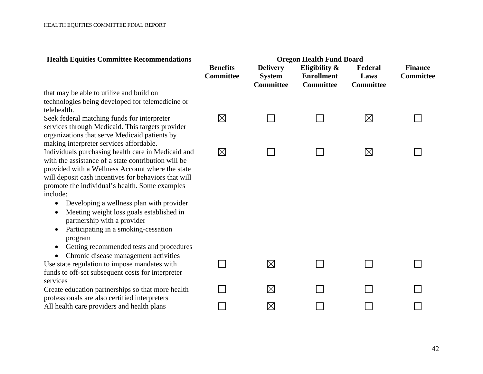| <b>Health Equities Committee Recommendations</b>                                                                                                                                                                                                                                                                                                                                                                                                                                                                                                                                         | <b>Benefits</b><br><b>Committee</b> | <b>Delivery</b><br><b>System</b><br><b>Committee</b> | <b>Oregon Health Fund Board</b><br>Eligibility $\&$<br><b>Enrollment</b><br><b>Committee</b> | Federal<br>Laws<br><b>Committee</b> | <b>Finance</b><br><b>Committee</b> |
|------------------------------------------------------------------------------------------------------------------------------------------------------------------------------------------------------------------------------------------------------------------------------------------------------------------------------------------------------------------------------------------------------------------------------------------------------------------------------------------------------------------------------------------------------------------------------------------|-------------------------------------|------------------------------------------------------|----------------------------------------------------------------------------------------------|-------------------------------------|------------------------------------|
| that may be able to utilize and build on<br>technologies being developed for telemedicine or<br>telehealth.                                                                                                                                                                                                                                                                                                                                                                                                                                                                              |                                     |                                                      |                                                                                              |                                     |                                    |
| Seek federal matching funds for interpreter<br>services through Medicaid. This targets provider<br>organizations that serve Medicaid patients by                                                                                                                                                                                                                                                                                                                                                                                                                                         | $\boxtimes$                         |                                                      |                                                                                              | $\boxtimes$                         |                                    |
| making interpreter services affordable.<br>Individuals purchasing health care in Medicaid and<br>with the assistance of a state contribution will be<br>provided with a Wellness Account where the state<br>will deposit cash incentives for behaviors that will<br>promote the individual's health. Some examples<br>include:<br>Developing a wellness plan with provider<br>$\bullet$<br>Meeting weight loss goals established in<br>٠<br>partnership with a provider<br>Participating in a smoking-cessation<br>٠<br>program<br>Getting recommended tests and procedures<br>$\bullet$ | $\boxtimes$                         |                                                      |                                                                                              | $\boxtimes$                         |                                    |
| Chronic disease management activities<br>Use state regulation to impose mandates with<br>funds to off-set subsequent costs for interpreter                                                                                                                                                                                                                                                                                                                                                                                                                                               |                                     | $\boxtimes$                                          |                                                                                              |                                     |                                    |
| services<br>Create education partnerships so that more health                                                                                                                                                                                                                                                                                                                                                                                                                                                                                                                            |                                     | $\boxtimes$                                          |                                                                                              |                                     |                                    |
| professionals are also certified interpreters<br>All health care providers and health plans                                                                                                                                                                                                                                                                                                                                                                                                                                                                                              |                                     | $\boxtimes$                                          |                                                                                              |                                     |                                    |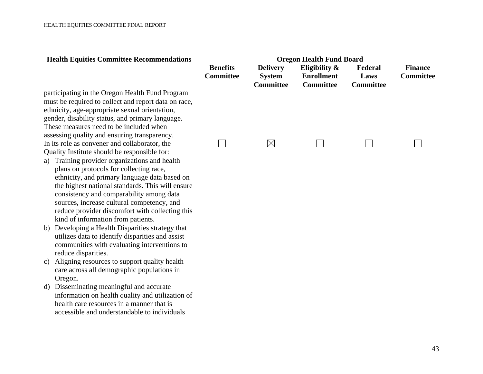| <b>Health Equities Committee Recommendations</b>                                                                                                                                                                                                                                                         | <b>Oregon Health Fund Board</b>     |                                                      |                                                           |                                     |                                    |  |
|----------------------------------------------------------------------------------------------------------------------------------------------------------------------------------------------------------------------------------------------------------------------------------------------------------|-------------------------------------|------------------------------------------------------|-----------------------------------------------------------|-------------------------------------|------------------------------------|--|
|                                                                                                                                                                                                                                                                                                          | <b>Benefits</b><br><b>Committee</b> | <b>Delivery</b><br><b>System</b><br><b>Committee</b> | Eligibility $\&$<br><b>Enrollment</b><br><b>Committee</b> | Federal<br>Laws<br><b>Committee</b> | <b>Finance</b><br><b>Committee</b> |  |
| participating in the Oregon Health Fund Program<br>must be required to collect and report data on race,<br>ethnicity, age-appropriate sexual orientation,<br>gender, disability status, and primary language.<br>These measures need to be included when<br>assessing quality and ensuring transparency. |                                     |                                                      |                                                           |                                     |                                    |  |
| In its role as convener and collaborator, the                                                                                                                                                                                                                                                            |                                     | $\boxtimes$                                          |                                                           |                                     |                                    |  |
| Quality Institute should be responsible for:                                                                                                                                                                                                                                                             |                                     |                                                      |                                                           |                                     |                                    |  |
| a) Training provider organizations and health                                                                                                                                                                                                                                                            |                                     |                                                      |                                                           |                                     |                                    |  |
| plans on protocols for collecting race,                                                                                                                                                                                                                                                                  |                                     |                                                      |                                                           |                                     |                                    |  |
| ethnicity, and primary language data based on                                                                                                                                                                                                                                                            |                                     |                                                      |                                                           |                                     |                                    |  |
| the highest national standards. This will ensure                                                                                                                                                                                                                                                         |                                     |                                                      |                                                           |                                     |                                    |  |
| consistency and comparability among data                                                                                                                                                                                                                                                                 |                                     |                                                      |                                                           |                                     |                                    |  |
| sources, increase cultural competency, and                                                                                                                                                                                                                                                               |                                     |                                                      |                                                           |                                     |                                    |  |
| reduce provider discomfort with collecting this<br>kind of information from patients.                                                                                                                                                                                                                    |                                     |                                                      |                                                           |                                     |                                    |  |
| b) Developing a Health Disparities strategy that                                                                                                                                                                                                                                                         |                                     |                                                      |                                                           |                                     |                                    |  |
| utilizes data to identify disparities and assist                                                                                                                                                                                                                                                         |                                     |                                                      |                                                           |                                     |                                    |  |
| communities with evaluating interventions to                                                                                                                                                                                                                                                             |                                     |                                                      |                                                           |                                     |                                    |  |
| reduce disparities.                                                                                                                                                                                                                                                                                      |                                     |                                                      |                                                           |                                     |                                    |  |
| Aligning resources to support quality health<br>c)                                                                                                                                                                                                                                                       |                                     |                                                      |                                                           |                                     |                                    |  |
| care across all demographic populations in                                                                                                                                                                                                                                                               |                                     |                                                      |                                                           |                                     |                                    |  |
| Oregon.                                                                                                                                                                                                                                                                                                  |                                     |                                                      |                                                           |                                     |                                    |  |
| d) Disseminating meaningful and accurate                                                                                                                                                                                                                                                                 |                                     |                                                      |                                                           |                                     |                                    |  |
| information on health quality and utilization of                                                                                                                                                                                                                                                         |                                     |                                                      |                                                           |                                     |                                    |  |
| health care resources in a manner that is                                                                                                                                                                                                                                                                |                                     |                                                      |                                                           |                                     |                                    |  |
| accessible and understandable to individuals                                                                                                                                                                                                                                                             |                                     |                                                      |                                                           |                                     |                                    |  |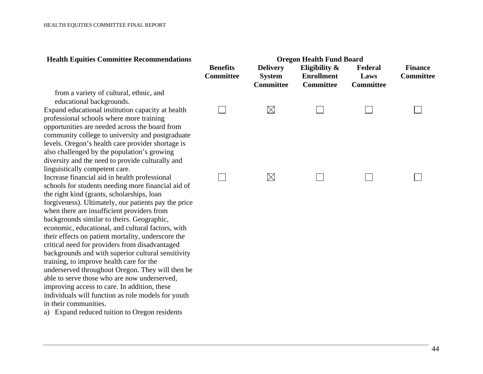| <b>Health Equities Committee Recommendations</b>                                                                                                                                                                                                                                                                                                                                                                                                                                                                                                                                                                                                                                                                                                                                                                                                                                           | <b>Oregon Health Fund Board</b>     |                                                      |                                                           |                                     |                                    |  |
|--------------------------------------------------------------------------------------------------------------------------------------------------------------------------------------------------------------------------------------------------------------------------------------------------------------------------------------------------------------------------------------------------------------------------------------------------------------------------------------------------------------------------------------------------------------------------------------------------------------------------------------------------------------------------------------------------------------------------------------------------------------------------------------------------------------------------------------------------------------------------------------------|-------------------------------------|------------------------------------------------------|-----------------------------------------------------------|-------------------------------------|------------------------------------|--|
|                                                                                                                                                                                                                                                                                                                                                                                                                                                                                                                                                                                                                                                                                                                                                                                                                                                                                            | <b>Benefits</b><br><b>Committee</b> | <b>Delivery</b><br><b>System</b><br><b>Committee</b> | Eligibility $\&$<br><b>Enrollment</b><br><b>Committee</b> | Federal<br>Laws<br><b>Committee</b> | <b>Finance</b><br><b>Committee</b> |  |
| from a variety of cultural, ethnic, and<br>educational backgrounds.                                                                                                                                                                                                                                                                                                                                                                                                                                                                                                                                                                                                                                                                                                                                                                                                                        |                                     |                                                      |                                                           |                                     |                                    |  |
| Expand educational institution capacity at health<br>professional schools where more training<br>opportunities are needed across the board from<br>community college to university and postgraduate<br>levels. Oregon's health care provider shortage is<br>also challenged by the population's growing<br>diversity and the need to provide culturally and                                                                                                                                                                                                                                                                                                                                                                                                                                                                                                                                |                                     | $\boxtimes$                                          |                                                           |                                     |                                    |  |
| linguistically competent care.<br>Increase financial aid in health professional<br>schools for students needing more financial aid of<br>the right kind (grants, scholarships, loan<br>forgiveness). Ultimately, our patients pay the price<br>when there are insufficient providers from<br>backgrounds similar to theirs. Geographic,<br>economic, educational, and cultural factors, with<br>their effects on patient mortality, underscore the<br>critical need for providers from disadvantaged<br>backgrounds and with superior cultural sensitivity<br>training, to improve health care for the<br>underserved throughout Oregon. They will then be<br>able to serve those who are now underserved,<br>improving access to care. In addition, these<br>individuals will function as role models for youth<br>in their communities.<br>a) Expand reduced tuition to Oregon residents |                                     | $\boxtimes$                                          |                                                           |                                     |                                    |  |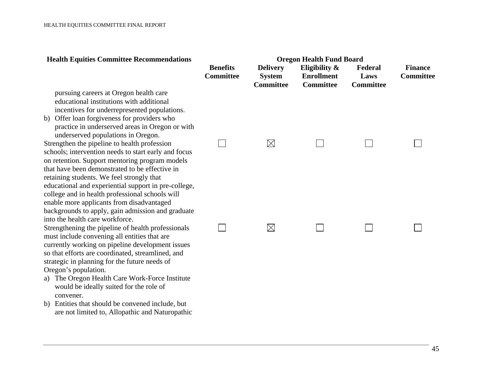| <b>Health Equities Committee Recommendations</b>                                                                                                                                                                                                                                                                                                                                                                                                                                                                                                                                                                                                                                                                                                 | <b>Benefits</b><br><b>Committee</b> | <b>Delivery</b><br><b>System</b><br><b>Committee</b> | <b>Oregon Health Fund Board</b><br>Eligibility $\&$<br><b>Enrollment</b><br><b>Committee</b> | Federal<br>Laws<br><b>Committee</b> | <b>Finance</b><br><b>Committee</b> |
|--------------------------------------------------------------------------------------------------------------------------------------------------------------------------------------------------------------------------------------------------------------------------------------------------------------------------------------------------------------------------------------------------------------------------------------------------------------------------------------------------------------------------------------------------------------------------------------------------------------------------------------------------------------------------------------------------------------------------------------------------|-------------------------------------|------------------------------------------------------|----------------------------------------------------------------------------------------------|-------------------------------------|------------------------------------|
| pursuing careers at Oregon health care<br>educational institutions with additional<br>incentives for underrepresented populations.<br>b) Offer loan forgiveness for providers who<br>practice in underserved areas in Oregon or with<br>underserved populations in Oregon.<br>Strengthen the pipeline to health profession<br>schools; intervention needs to start early and focus<br>on retention. Support mentoring program models<br>that have been demonstrated to be effective in<br>retaining students. We feel strongly that<br>educational and experiential support in pre-college,<br>college and in health professional schools will<br>enable more applicants from disadvantaged<br>backgrounds to apply, gain admission and graduate |                                     | $\boxtimes$                                          |                                                                                              |                                     |                                    |
| into the health care workforce.<br>Strengthening the pipeline of health professionals<br>must include convening all entities that are<br>currently working on pipeline development issues<br>so that efforts are coordinated, streamlined, and<br>strategic in planning for the future needs of<br>Oregon's population.<br>a) The Oregon Health Care Work-Force Institute<br>would be ideally suited for the role of<br>convener.<br>Entities that should be convened include, but<br>b)<br>are not limited to, Allopathic and Naturopathic                                                                                                                                                                                                      |                                     | $\boxtimes$                                          |                                                                                              |                                     |                                    |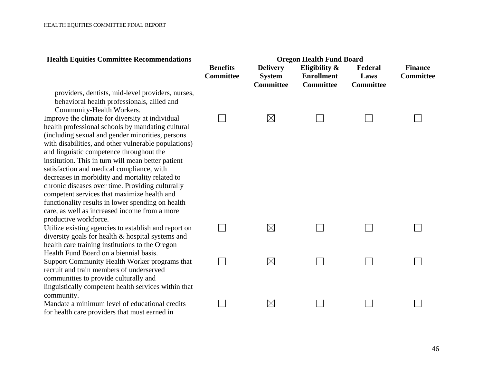| <b>Health Equities Committee Recommendations</b>                                                                                                                                                                                                                                                                                                                                                                                                                                                                                                                           | <b>Oregon Health Fund Board</b>     |                                                      |                                                           |                                     |                                    |  |
|----------------------------------------------------------------------------------------------------------------------------------------------------------------------------------------------------------------------------------------------------------------------------------------------------------------------------------------------------------------------------------------------------------------------------------------------------------------------------------------------------------------------------------------------------------------------------|-------------------------------------|------------------------------------------------------|-----------------------------------------------------------|-------------------------------------|------------------------------------|--|
|                                                                                                                                                                                                                                                                                                                                                                                                                                                                                                                                                                            | <b>Benefits</b><br><b>Committee</b> | <b>Delivery</b><br><b>System</b><br><b>Committee</b> | Eligibility $\&$<br><b>Enrollment</b><br><b>Committee</b> | Federal<br>Laws<br><b>Committee</b> | <b>Finance</b><br><b>Committee</b> |  |
| providers, dentists, mid-level providers, nurses,<br>behavioral health professionals, allied and<br>Community-Health Workers.                                                                                                                                                                                                                                                                                                                                                                                                                                              |                                     |                                                      |                                                           |                                     |                                    |  |
| Improve the climate for diversity at individual<br>health professional schools by mandating cultural<br>(including sexual and gender minorities, persons<br>with disabilities, and other vulnerable populations)<br>and linguistic competence throughout the<br>institution. This in turn will mean better patient<br>satisfaction and medical compliance, with<br>decreases in morbidity and mortality related to<br>chronic diseases over time. Providing culturally<br>competent services that maximize health and<br>functionality results in lower spending on health |                                     | $\boxtimes$                                          |                                                           |                                     |                                    |  |
| care, as well as increased income from a more<br>productive workforce.<br>Utilize existing agencies to establish and report on                                                                                                                                                                                                                                                                                                                                                                                                                                             |                                     | $\boxtimes$                                          |                                                           |                                     |                                    |  |
| diversity goals for health & hospital systems and<br>health care training institutions to the Oregon<br>Health Fund Board on a biennial basis.                                                                                                                                                                                                                                                                                                                                                                                                                             |                                     |                                                      |                                                           |                                     |                                    |  |
| Support Community Health Worker programs that<br>recruit and train members of underserved<br>communities to provide culturally and<br>linguistically competent health services within that                                                                                                                                                                                                                                                                                                                                                                                 |                                     | $\boxtimes$                                          |                                                           |                                     |                                    |  |
| community.<br>Mandate a minimum level of educational credits<br>for health care providers that must earned in                                                                                                                                                                                                                                                                                                                                                                                                                                                              |                                     | $\boxtimes$                                          |                                                           |                                     |                                    |  |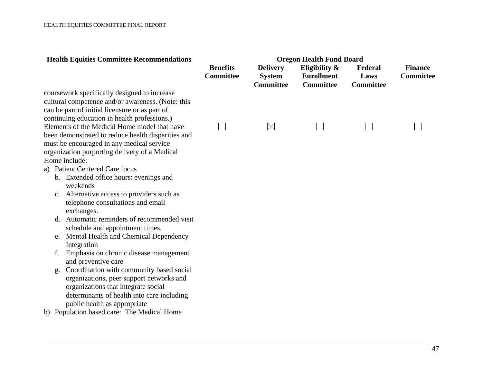| <b>Health Equities Committee Recommendations</b>                                                                                                                                                                                                    |  | <b>Oregon Health Fund Board</b>                                                             |                                                           |                                     |                                    |  |
|-----------------------------------------------------------------------------------------------------------------------------------------------------------------------------------------------------------------------------------------------------|--|---------------------------------------------------------------------------------------------|-----------------------------------------------------------|-------------------------------------|------------------------------------|--|
|                                                                                                                                                                                                                                                     |  | <b>Benefits</b><br><b>Delivery</b><br><b>Committee</b><br><b>System</b><br><b>Committee</b> | Eligibility $\&$<br><b>Enrollment</b><br><b>Committee</b> | Federal<br>Laws<br><b>Committee</b> | <b>Finance</b><br><b>Committee</b> |  |
| coursework specifically designed to increase<br>cultural competence and/or awareness. (Note: this<br>can be part of initial licensure or as part of<br>continuing education in health professions.)<br>Elements of the Medical Home model that have |  | $\boxtimes$                                                                                 |                                                           |                                     |                                    |  |
| been demonstrated to reduce health disparities and<br>must be encouraged in any medical service<br>organization purporting delivery of a Medical<br>Home include:                                                                                   |  |                                                                                             |                                                           |                                     |                                    |  |
| a) Patient Centered Care focus<br>b. Extended office hours: evenings and<br>weekends                                                                                                                                                                |  |                                                                                             |                                                           |                                     |                                    |  |
| c. Alternative access to providers such as<br>telephone consultations and email<br>exchanges.                                                                                                                                                       |  |                                                                                             |                                                           |                                     |                                    |  |
| d. Automatic reminders of recommended visit<br>schedule and appointment times.                                                                                                                                                                      |  |                                                                                             |                                                           |                                     |                                    |  |
| e. Mental Health and Chemical Dependency<br>Integration                                                                                                                                                                                             |  |                                                                                             |                                                           |                                     |                                    |  |
| Emphasis on chronic disease management<br>f.<br>and preventive care                                                                                                                                                                                 |  |                                                                                             |                                                           |                                     |                                    |  |
| Coordination with community based social<br>g.<br>organizations, peer support networks and<br>organizations that integrate social                                                                                                                   |  |                                                                                             |                                                           |                                     |                                    |  |
| determinants of health into care including<br>public health as appropriate                                                                                                                                                                          |  |                                                                                             |                                                           |                                     |                                    |  |
| b) Population based care: The Medical Home                                                                                                                                                                                                          |  |                                                                                             |                                                           |                                     |                                    |  |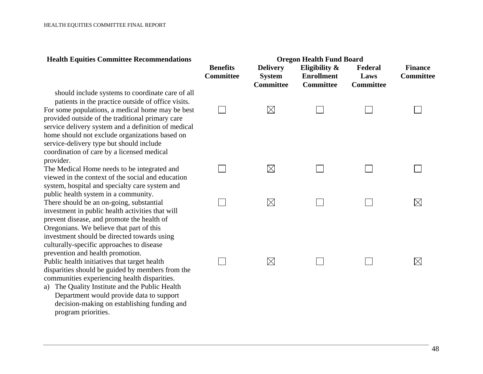program priorities.

| <b>Health Equities Committee Recommendations</b>                                                                                                                                                                                                                                                                                                                                                                  |                                     | <b>Oregon Health Fund Board</b>                      |                                                           |                                     |                                    |  |
|-------------------------------------------------------------------------------------------------------------------------------------------------------------------------------------------------------------------------------------------------------------------------------------------------------------------------------------------------------------------------------------------------------------------|-------------------------------------|------------------------------------------------------|-----------------------------------------------------------|-------------------------------------|------------------------------------|--|
|                                                                                                                                                                                                                                                                                                                                                                                                                   | <b>Benefits</b><br><b>Committee</b> | <b>Delivery</b><br><b>System</b><br><b>Committee</b> | Eligibility $\&$<br><b>Enrollment</b><br><b>Committee</b> | Federal<br>Laws<br><b>Committee</b> | <b>Finance</b><br><b>Committee</b> |  |
| should include systems to coordinate care of all<br>patients in the practice outside of office visits.<br>For some populations, a medical home may be best<br>provided outside of the traditional primary care<br>service delivery system and a definition of medical<br>home should not exclude organizations based on<br>service-delivery type but should include<br>coordination of care by a licensed medical |                                     | $\boxtimes$                                          |                                                           |                                     |                                    |  |
| provider.<br>The Medical Home needs to be integrated and<br>viewed in the context of the social and education<br>system, hospital and specialty care system and                                                                                                                                                                                                                                                   |                                     | $\boxtimes$                                          |                                                           |                                     |                                    |  |
| public health system in a community.<br>There should be an on-going, substantial<br>investment in public health activities that will<br>prevent disease, and promote the health of<br>Oregonians. We believe that part of this<br>investment should be directed towards using<br>culturally-specific approaches to disease                                                                                        |                                     | $\boxtimes$                                          |                                                           |                                     | $\boxtimes$                        |  |
| prevention and health promotion.<br>Public health initiatives that target health<br>disparities should be guided by members from the<br>communities experiencing health disparities.<br>The Quality Institute and the Public Health<br>a)<br>Department would provide data to support<br>decision-making on establishing funding and                                                                              |                                     | $\boxtimes$                                          |                                                           |                                     | $\boxtimes$                        |  |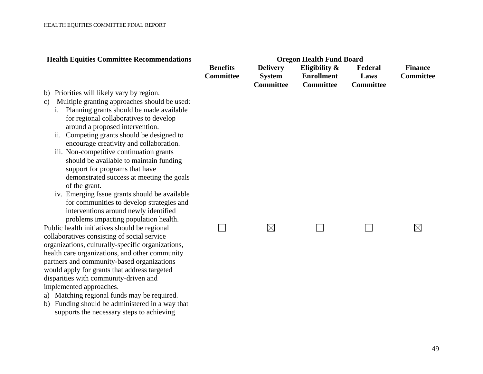| <b>Health Equities Committee Recommendations</b>                                                                                                                                                                                                                                                                                                                                                                                                                                                                                                                                                                                                                                                                                                                                                                                                                                                                                                                                                                                                                                                                                                                                                                              | <b>Oregon Health Fund Board</b>     |                                                      |                                                           |                                     |                                    |  |
|-------------------------------------------------------------------------------------------------------------------------------------------------------------------------------------------------------------------------------------------------------------------------------------------------------------------------------------------------------------------------------------------------------------------------------------------------------------------------------------------------------------------------------------------------------------------------------------------------------------------------------------------------------------------------------------------------------------------------------------------------------------------------------------------------------------------------------------------------------------------------------------------------------------------------------------------------------------------------------------------------------------------------------------------------------------------------------------------------------------------------------------------------------------------------------------------------------------------------------|-------------------------------------|------------------------------------------------------|-----------------------------------------------------------|-------------------------------------|------------------------------------|--|
|                                                                                                                                                                                                                                                                                                                                                                                                                                                                                                                                                                                                                                                                                                                                                                                                                                                                                                                                                                                                                                                                                                                                                                                                                               | <b>Benefits</b><br><b>Committee</b> | <b>Delivery</b><br><b>System</b><br><b>Committee</b> | Eligibility $\&$<br><b>Enrollment</b><br><b>Committee</b> | Federal<br>Laws<br><b>Committee</b> | <b>Finance</b><br><b>Committee</b> |  |
| b) Priorities will likely vary by region.<br>Multiple granting approaches should be used:<br>$\mathbf{c})$<br>i. Planning grants should be made available<br>for regional collaboratives to develop<br>around a proposed intervention.<br>ii. Competing grants should be designed to<br>encourage creativity and collaboration.<br>iii. Non-competitive continuation grants<br>should be available to maintain funding<br>support for programs that have<br>demonstrated success at meeting the goals<br>of the grant.<br>iv. Emerging Issue grants should be available<br>for communities to develop strategies and<br>interventions around newly identified<br>problems impacting population health.<br>Public health initiatives should be regional<br>collaboratives consisting of social service<br>organizations, culturally-specific organizations,<br>health care organizations, and other community<br>partners and community-based organizations<br>would apply for grants that address targeted<br>disparities with community-driven and<br>implemented approaches.<br>a) Matching regional funds may be required.<br>b) Funding should be administered in a way that<br>supports the necessary steps to achieving |                                     | $\boxtimes$                                          |                                                           |                                     | $\times$                           |  |
|                                                                                                                                                                                                                                                                                                                                                                                                                                                                                                                                                                                                                                                                                                                                                                                                                                                                                                                                                                                                                                                                                                                                                                                                                               |                                     |                                                      |                                                           |                                     |                                    |  |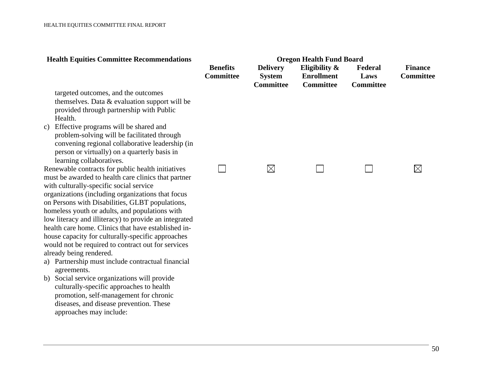| <b>Health Equities Committee Recommendations</b> |                                                                                                                                                                                                                                                                                                                                                                                                                                                                                                                                                                                                                                                                                         | <b>Oregon Health Fund Board</b>     |                                                      |                                                           |                                     |                                    |
|--------------------------------------------------|-----------------------------------------------------------------------------------------------------------------------------------------------------------------------------------------------------------------------------------------------------------------------------------------------------------------------------------------------------------------------------------------------------------------------------------------------------------------------------------------------------------------------------------------------------------------------------------------------------------------------------------------------------------------------------------------|-------------------------------------|------------------------------------------------------|-----------------------------------------------------------|-------------------------------------|------------------------------------|
|                                                  |                                                                                                                                                                                                                                                                                                                                                                                                                                                                                                                                                                                                                                                                                         | <b>Benefits</b><br><b>Committee</b> | <b>Delivery</b><br><b>System</b><br><b>Committee</b> | Eligibility $\&$<br><b>Enrollment</b><br><b>Committee</b> | Federal<br>Laws<br><b>Committee</b> | <b>Finance</b><br><b>Committee</b> |
|                                                  | targeted outcomes, and the outcomes<br>themselves. Data & evaluation support will be<br>provided through partnership with Public<br>Health.<br>c) Effective programs will be shared and<br>problem-solving will be facilitated through<br>convening regional collaborative leadership (in<br>person or virtually) on a quarterly basis in<br>learning collaboratives.                                                                                                                                                                                                                                                                                                                   |                                     |                                                      |                                                           |                                     |                                    |
|                                                  | Renewable contracts for public health initiatives<br>must be awarded to health care clinics that partner<br>with culturally-specific social service<br>organizations (including organizations that focus<br>on Persons with Disabilities, GLBT populations,<br>homeless youth or adults, and populations with<br>low literacy and illiteracy) to provide an integrated<br>health care home. Clinics that have established in-<br>house capacity for culturally-specific approaches<br>would not be required to contract out for services<br>already being rendered.<br>a) Partnership must include contractual financial<br>agreements.<br>b) Social service organizations will provide |                                     | $\boxtimes$                                          |                                                           |                                     | $\boxtimes$                        |
|                                                  | culturally-specific approaches to health<br>promotion, self-management for chronic<br>diseases, and disease prevention. These<br>approaches may include:                                                                                                                                                                                                                                                                                                                                                                                                                                                                                                                                |                                     |                                                      |                                                           |                                     |                                    |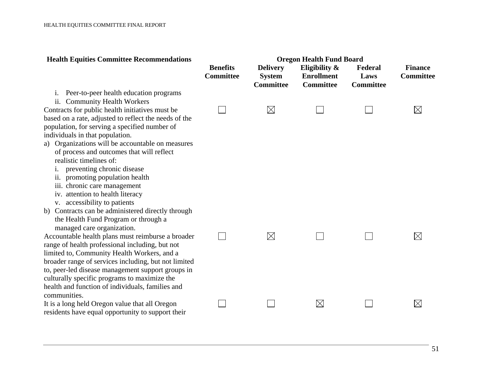| <b>Health Equities Committee Recommendations</b>                                                                                                                                                                                                                                                                                                                                                                                                                                                                                                                                                                    | <b>Oregon Health Fund Board</b>     |                                                      |                                                           |                                     |                                    |
|---------------------------------------------------------------------------------------------------------------------------------------------------------------------------------------------------------------------------------------------------------------------------------------------------------------------------------------------------------------------------------------------------------------------------------------------------------------------------------------------------------------------------------------------------------------------------------------------------------------------|-------------------------------------|------------------------------------------------------|-----------------------------------------------------------|-------------------------------------|------------------------------------|
|                                                                                                                                                                                                                                                                                                                                                                                                                                                                                                                                                                                                                     | <b>Benefits</b><br><b>Committee</b> | <b>Delivery</b><br><b>System</b><br><b>Committee</b> | Eligibility $\&$<br><b>Enrollment</b><br><b>Committee</b> | Federal<br>Laws<br><b>Committee</b> | <b>Finance</b><br><b>Committee</b> |
| i.<br>Peer-to-peer health education programs<br><b>Community Health Workers</b><br>ii.<br>Contracts for public health initiatives must be<br>based on a rate, adjusted to reflect the needs of the<br>population, for serving a specified number of<br>individuals in that population.<br>a) Organizations will be accountable on measures<br>of process and outcomes that will reflect<br>realistic timelines of:<br>preventing chronic disease<br>promoting population health<br>$\overline{11}$ .                                                                                                                |                                     | $\boxtimes$                                          |                                                           |                                     | $\bowtie$                          |
| iii. chronic care management<br>iv. attention to health literacy<br>v. accessibility to patients<br>b) Contracts can be administered directly through<br>the Health Fund Program or through a<br>managed care organization.<br>Accountable health plans must reimburse a broader<br>range of health professional including, but not<br>limited to, Community Health Workers, and a<br>broader range of services including, but not limited<br>to, peer-led disease management support groups in<br>culturally specific programs to maximize the<br>health and function of individuals, families and<br>communities. |                                     | $\boxtimes$                                          |                                                           |                                     | $\boxtimes$                        |
| It is a long held Oregon value that all Oregon<br>residents have equal opportunity to support their                                                                                                                                                                                                                                                                                                                                                                                                                                                                                                                 |                                     |                                                      | $\boxtimes$                                               |                                     | $\boxtimes$                        |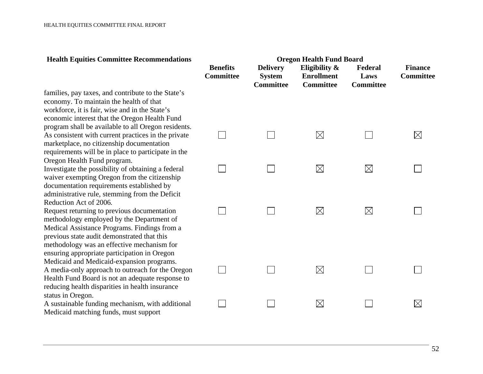| <b>Health Equities Committee Recommendations</b>                                                                                                                                                                                                                                      | <b>Oregon Health Fund Board</b>     |                                                      |                                                           |                                     |                                    |
|---------------------------------------------------------------------------------------------------------------------------------------------------------------------------------------------------------------------------------------------------------------------------------------|-------------------------------------|------------------------------------------------------|-----------------------------------------------------------|-------------------------------------|------------------------------------|
|                                                                                                                                                                                                                                                                                       | <b>Benefits</b><br><b>Committee</b> | <b>Delivery</b><br><b>System</b><br><b>Committee</b> | Eligibility $\&$<br><b>Enrollment</b><br><b>Committee</b> | Federal<br>Laws<br><b>Committee</b> | <b>Finance</b><br><b>Committee</b> |
| families, pay taxes, and contribute to the State's<br>economy. To maintain the health of that<br>workforce, it is fair, wise and in the State's<br>economic interest that the Oregon Health Fund                                                                                      |                                     |                                                      |                                                           |                                     |                                    |
| program shall be available to all Oregon residents.<br>As consistent with current practices in the private<br>marketplace, no citizenship documentation<br>requirements will be in place to participate in the                                                                        |                                     |                                                      | $\boxtimes$                                               |                                     | $\boxtimes$                        |
| Oregon Health Fund program.<br>Investigate the possibility of obtaining a federal<br>waiver exempting Oregon from the citizenship<br>documentation requirements established by<br>administrative rule, stemming from the Deficit<br>Reduction Act of 2006.                            |                                     |                                                      | $\boxtimes$                                               | $\boxtimes$                         |                                    |
| Request returning to previous documentation<br>methodology employed by the Department of<br>Medical Assistance Programs. Findings from a<br>previous state audit demonstrated that this<br>methodology was an effective mechanism for<br>ensuring appropriate participation in Oregon |                                     |                                                      | $\boxtimes$                                               | $\boxtimes$                         |                                    |
| Medicaid and Medicaid-expansion programs.<br>A media-only approach to outreach for the Oregon<br>Health Fund Board is not an adequate response to<br>reducing health disparities in health insurance                                                                                  |                                     |                                                      | $\boxtimes$                                               |                                     |                                    |
| status in Oregon.<br>A sustainable funding mechanism, with additional<br>Medicaid matching funds, must support                                                                                                                                                                        |                                     |                                                      | $\boxtimes$                                               |                                     | $\boxtimes$                        |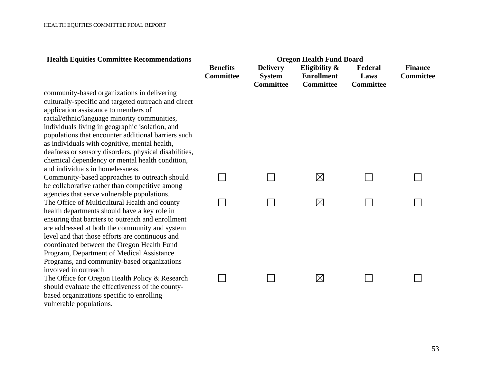| <b>Health Equities Committee Recommendations</b>                                                                                                                                                                                                                                                                                                                                                                                                                   | <b>Oregon Health Fund Board</b>     |                                                      |                                                           |                                     |                                    |
|--------------------------------------------------------------------------------------------------------------------------------------------------------------------------------------------------------------------------------------------------------------------------------------------------------------------------------------------------------------------------------------------------------------------------------------------------------------------|-------------------------------------|------------------------------------------------------|-----------------------------------------------------------|-------------------------------------|------------------------------------|
|                                                                                                                                                                                                                                                                                                                                                                                                                                                                    | <b>Benefits</b><br><b>Committee</b> | <b>Delivery</b><br><b>System</b><br><b>Committee</b> | Eligibility $\&$<br><b>Enrollment</b><br><b>Committee</b> | Federal<br>Laws<br><b>Committee</b> | <b>Finance</b><br><b>Committee</b> |
| community-based organizations in delivering<br>culturally-specific and targeted outreach and direct<br>application assistance to members of<br>racial/ethnic/language minority communities,<br>individuals living in geographic isolation, and<br>populations that encounter additional barriers such<br>as individuals with cognitive, mental health,<br>deafness or sensory disorders, physical disabilities,<br>chemical dependency or mental health condition, |                                     |                                                      |                                                           |                                     |                                    |
| and individuals in homelessness.<br>Community-based approaches to outreach should<br>be collaborative rather than competitive among                                                                                                                                                                                                                                                                                                                                |                                     |                                                      | $\boxtimes$                                               |                                     |                                    |
| agencies that serve vulnerable populations.<br>The Office of Multicultural Health and county<br>health departments should have a key role in<br>ensuring that barriers to outreach and enrollment<br>are addressed at both the community and system<br>level and that those efforts are continuous and<br>coordinated between the Oregon Health Fund<br>Program, Department of Medical Assistance<br>Programs, and community-based organizations                   |                                     |                                                      | $\boxtimes$                                               |                                     |                                    |
| involved in outreach<br>The Office for Oregon Health Policy & Research<br>should evaluate the effectiveness of the county-<br>based organizations specific to enrolling<br>vulnerable populations.                                                                                                                                                                                                                                                                 |                                     |                                                      | $\boxtimes$                                               |                                     |                                    |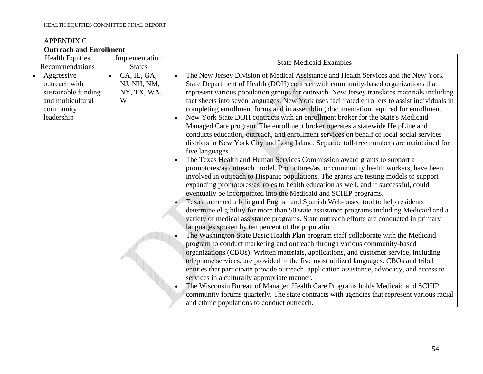### HEALTH EQUITIES COMMITTEE FINAL REPORT

#### APPENDIX C **Outreach and Enrollment**

| <b>Health Equities</b><br>Recommendations                                                          | Implementation<br><b>States</b>                 | <b>State Medicaid Examples</b>                                                                                                                                                                                                                                                                                                                                                                                                                                                                                                                                                                                                                                                                                                                                                                                                                                                                                                                                                                                                                                                                                                                                                                                                                                                                                                                                                                                                                                                                                                                                                                                                                                                                                                                                                                                                                                                                                                                                                                                                                                                                                                                                                                                                                                                                                                                                           |
|----------------------------------------------------------------------------------------------------|-------------------------------------------------|--------------------------------------------------------------------------------------------------------------------------------------------------------------------------------------------------------------------------------------------------------------------------------------------------------------------------------------------------------------------------------------------------------------------------------------------------------------------------------------------------------------------------------------------------------------------------------------------------------------------------------------------------------------------------------------------------------------------------------------------------------------------------------------------------------------------------------------------------------------------------------------------------------------------------------------------------------------------------------------------------------------------------------------------------------------------------------------------------------------------------------------------------------------------------------------------------------------------------------------------------------------------------------------------------------------------------------------------------------------------------------------------------------------------------------------------------------------------------------------------------------------------------------------------------------------------------------------------------------------------------------------------------------------------------------------------------------------------------------------------------------------------------------------------------------------------------------------------------------------------------------------------------------------------------------------------------------------------------------------------------------------------------------------------------------------------------------------------------------------------------------------------------------------------------------------------------------------------------------------------------------------------------------------------------------------------------------------------------------------------------|
| Aggressive<br>outreach with<br>sustainable funding<br>and multicultural<br>community<br>leadership | CA, IL, GA,<br>NJ, NH, NM,<br>NY, TX, WA,<br>WI | The New Jersey Division of Medical Assistance and Health Services and the New York<br>$\bullet$<br>State Department of Health (DOH) contract with community-based organizations that<br>represent various population groups for outreach. New Jersey translates materials including<br>fact sheets into seven languages. New York uses facilitated enrollers to assist individuals in<br>completing enrollment forms and in assembling documentation required for enrollment.<br>New York State DOH contracts with an enrollment broker for the State's Medicaid<br>Managed Care program. The enrollment broker operates a statewide HelpLine and<br>conducts education, outreach, and enrollment services on behalf of local social services<br>districts in New York City and Long Island. Separate toll-free numbers are maintained for<br>five languages.<br>The Texas Health and Human Services Commission award grants to support a<br>$\bullet$<br>promotores/as outreach model. Promotores/as, or community health workers, have been<br>involved in outreach to Hispanic populations. The grants are testing models to support<br>expanding promotores/as' roles to health education as well, and if successful, could<br>eventually be incorporated into the Medicaid and SCHIP programs.<br>Texas launched a bilingual English and Spanish Web-based tool to help residents<br>determine eligibility for more than 50 state assistance programs including Medicaid and a<br>variety of medical assistance programs. State outreach efforts are conducted in primary<br>languages spoken by ten percent of the population.<br>The Washington State Basic Health Plan program staff collaborate with the Medicaid<br>program to conduct marketing and outreach through various community-based<br>organizations (CBOs). Written materials, applications, and customer service, including<br>telephone services, are provided in the five most utilized languages. CBOs and tribal<br>entities that participate provide outreach, application assistance, advocacy, and access to<br>services in a culturally appropriate manner.<br>The Wisconsin Bureau of Managed Health Care Programs holds Medicaid and SCHIP<br>community forums quarterly. The state contracts with agencies that represent various racial<br>and ethnic populations to conduct outreach. |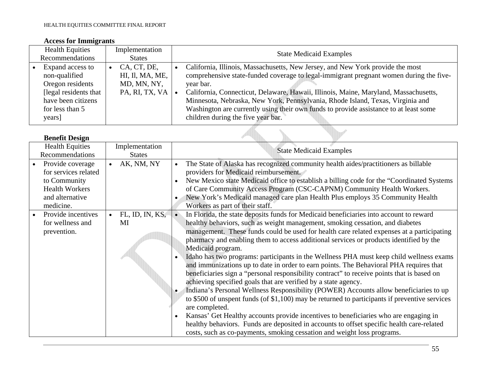## **Access for Immigrants**

| <b>Health Equities</b><br>Recommendations | Implementation<br><b>States</b> | <b>State Medicaid Examples</b>                                                         |
|-------------------------------------------|---------------------------------|----------------------------------------------------------------------------------------|
| Expand access to                          | CA, CT, DE,                     | California, Illinois, Massachusetts, New Jersey, and New York provide the most         |
| non-qualified                             | HI, Il, MA, ME,                 | comprehensive state-funded coverage to legal-immigrant pregnant women during the five- |
| Oregon residents                          | MD, MN, NY,                     | year bar.                                                                              |
| [legal residents that]                    | PA, RI, TX, VA                  | California, Connecticut, Delaware, Hawaii, Illinois, Maine, Maryland, Massachusetts,   |
| have been citizens                        |                                 | Minnesota, Nebraska, New York, Pennsylvania, Rhode Island, Texas, Virginia and         |
| for less than 5                           |                                 | Washington are currently using their own funds to provide assistance to at least some  |
| years]                                    |                                 | children during the five year bar.                                                     |

|           | <b>Benefit Design</b>  |                              |           |                                                                                                                                                                                                                                                                                                                                                                                                                                                                                                                                                                                                                                                                                                                                                                                                                                                                                                                                                                                                                                           |
|-----------|------------------------|------------------------------|-----------|-------------------------------------------------------------------------------------------------------------------------------------------------------------------------------------------------------------------------------------------------------------------------------------------------------------------------------------------------------------------------------------------------------------------------------------------------------------------------------------------------------------------------------------------------------------------------------------------------------------------------------------------------------------------------------------------------------------------------------------------------------------------------------------------------------------------------------------------------------------------------------------------------------------------------------------------------------------------------------------------------------------------------------------------|
|           | <b>Health Equities</b> | Implementation               |           | <b>State Medicaid Examples</b>                                                                                                                                                                                                                                                                                                                                                                                                                                                                                                                                                                                                                                                                                                                                                                                                                                                                                                                                                                                                            |
|           | Recommendations        | <b>States</b>                |           |                                                                                                                                                                                                                                                                                                                                                                                                                                                                                                                                                                                                                                                                                                                                                                                                                                                                                                                                                                                                                                           |
| $\bullet$ | Provide coverage       | AK, NM, NY<br>$\bullet$      |           | The State of Alaska has recognized community health aides/practitioners as billable                                                                                                                                                                                                                                                                                                                                                                                                                                                                                                                                                                                                                                                                                                                                                                                                                                                                                                                                                       |
|           | for services related   |                              |           | providers for Medicaid reimbursement.                                                                                                                                                                                                                                                                                                                                                                                                                                                                                                                                                                                                                                                                                                                                                                                                                                                                                                                                                                                                     |
|           | to Community           |                              | $\bullet$ | New Mexico state Medicaid office to establish a billing code for the "Coordinated Systems"                                                                                                                                                                                                                                                                                                                                                                                                                                                                                                                                                                                                                                                                                                                                                                                                                                                                                                                                                |
|           | <b>Health Workers</b>  |                              |           | of Care Community Access Program (CSC-CAPNM) Community Health Workers.                                                                                                                                                                                                                                                                                                                                                                                                                                                                                                                                                                                                                                                                                                                                                                                                                                                                                                                                                                    |
|           | and alternative        |                              |           | New York's Medicaid managed care plan Health Plus employs 35 Community Health                                                                                                                                                                                                                                                                                                                                                                                                                                                                                                                                                                                                                                                                                                                                                                                                                                                                                                                                                             |
|           | medicine.              |                              |           | Workers as part of their staff.                                                                                                                                                                                                                                                                                                                                                                                                                                                                                                                                                                                                                                                                                                                                                                                                                                                                                                                                                                                                           |
|           | Provide incentives     | FL, ID, IN, KS,<br>$\bullet$ |           | In Florida, the state deposits funds for Medicaid beneficiaries into account to reward                                                                                                                                                                                                                                                                                                                                                                                                                                                                                                                                                                                                                                                                                                                                                                                                                                                                                                                                                    |
|           | for wellness and       | MI                           |           | healthy behaviors, such as weight management, smoking cessation, and diabetes                                                                                                                                                                                                                                                                                                                                                                                                                                                                                                                                                                                                                                                                                                                                                                                                                                                                                                                                                             |
|           | prevention.            |                              | $\bullet$ | management. These funds could be used for health care related expenses at a participating<br>pharmacy and enabling them to access additional services or products identified by the<br>Medicaid program.<br>Idaho has two programs: participants in the Wellness PHA must keep child wellness exams<br>and immunizations up to date in order to earn points. The Behavioral PHA requires that<br>beneficiaries sign a "personal responsibility contract" to receive points that is based on<br>achieving specified goals that are verified by a state agency.<br>Indiana's Personal Wellness Responsibility (POWER) Accounts allow beneficiaries to up<br>to \$500 of unspent funds (of \$1,100) may be returned to participants if preventive services<br>are completed.<br>Kansas' Get Healthy accounts provide incentives to beneficiaries who are engaging in<br>healthy behaviors. Funds are deposited in accounts to offset specific health care-related<br>costs, such as co-payments, smoking cessation and weight loss programs. |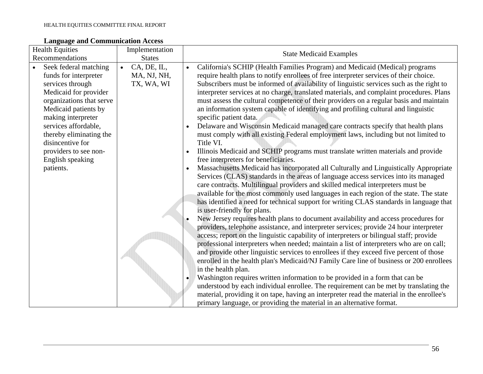| <b>Language and Communication Access</b> |  |  |  |
|------------------------------------------|--|--|--|
|------------------------------------------|--|--|--|

| <b>Health Equities</b>                                                                                                                                                                                                                                                                                                    | Implementation                                                         |                                                                                                                                                                                                                                                                                                                                                                                                                                                                                                                                                                                                                                                                                                                                                                                                                                                                                                                                                                                                                                                                                                                                                                                                                                                                                                                                                                                                                                                                                                                                                                                                                                                                                                                                                                                                                                                                                                                                                                                                                                                                                                                                  |
|---------------------------------------------------------------------------------------------------------------------------------------------------------------------------------------------------------------------------------------------------------------------------------------------------------------------------|------------------------------------------------------------------------|----------------------------------------------------------------------------------------------------------------------------------------------------------------------------------------------------------------------------------------------------------------------------------------------------------------------------------------------------------------------------------------------------------------------------------------------------------------------------------------------------------------------------------------------------------------------------------------------------------------------------------------------------------------------------------------------------------------------------------------------------------------------------------------------------------------------------------------------------------------------------------------------------------------------------------------------------------------------------------------------------------------------------------------------------------------------------------------------------------------------------------------------------------------------------------------------------------------------------------------------------------------------------------------------------------------------------------------------------------------------------------------------------------------------------------------------------------------------------------------------------------------------------------------------------------------------------------------------------------------------------------------------------------------------------------------------------------------------------------------------------------------------------------------------------------------------------------------------------------------------------------------------------------------------------------------------------------------------------------------------------------------------------------------------------------------------------------------------------------------------------------|
|                                                                                                                                                                                                                                                                                                                           |                                                                        |                                                                                                                                                                                                                                                                                                                                                                                                                                                                                                                                                                                                                                                                                                                                                                                                                                                                                                                                                                                                                                                                                                                                                                                                                                                                                                                                                                                                                                                                                                                                                                                                                                                                                                                                                                                                                                                                                                                                                                                                                                                                                                                                  |
| Recommendations<br>Seek federal matching<br>funds for interpreter<br>services through<br>Medicaid for provider<br>organizations that serve<br>Medicaid patients by<br>making interpreter<br>services affordable,<br>thereby eliminating the<br>disincentive for<br>providers to see non-<br>English speaking<br>patients. | <b>States</b><br>CA, DE, IL,<br>$\bullet$<br>MA, NJ, NH,<br>TX, WA, WI | <b>State Medicaid Examples</b><br>California's SCHIP (Health Families Program) and Medicaid (Medical) programs<br>$\bullet$<br>require health plans to notify enrollees of free interpreter services of their choice.<br>Subscribers must be informed of availability of linguistic services such as the right to<br>interpreter services at no charge, translated materials, and complaint procedures. Plans<br>must assess the cultural competence of their providers on a regular basis and maintain<br>an information system capable of identifying and profiling cultural and linguistic<br>specific patient data.<br>Delaware and Wisconsin Medicaid managed care contracts specify that health plans<br>must comply with all existing Federal employment laws, including but not limited to<br>Title VI.<br>Illinois Medicaid and SCHIP programs must translate written materials and provide<br>$\bullet$<br>free interpreters for beneficiaries.<br>Massachusetts Medicaid has incorporated all Culturally and Linguistically Appropriate<br>Services (CLAS) standards in the areas of language access services into its managed<br>care contracts. Multilingual providers and skilled medical interpreters must be<br>available for the most commonly used languages in each region of the state. The state<br>has identified a need for technical support for writing CLAS standards in language that<br>is user-friendly for plans.<br>New Jersey requires health plans to document availability and access procedures for<br>providers, telephone assistance, and interpreter services; provide 24 hour interpreter<br>access; report on the linguistic capability of interpreters or bilingual staff; provide<br>professional interpreters when needed; maintain a list of interpreters who are on call;<br>and provide other linguistic services to enrollees if they exceed five percent of those<br>enrolled in the health plan's Medicaid/NJ Family Care line of business or 200 enrollees<br>in the health plan.<br>Washington requires written information to be provided in a form that can be<br>$\bullet$ |
|                                                                                                                                                                                                                                                                                                                           |                                                                        | understood by each individual enrollee. The requirement can be met by translating the<br>material, providing it on tape, having an interpreter read the material in the enrollee's<br>primary language, or providing the material in an alternative format.                                                                                                                                                                                                                                                                                                                                                                                                                                                                                                                                                                                                                                                                                                                                                                                                                                                                                                                                                                                                                                                                                                                                                                                                                                                                                                                                                                                                                                                                                                                                                                                                                                                                                                                                                                                                                                                                      |